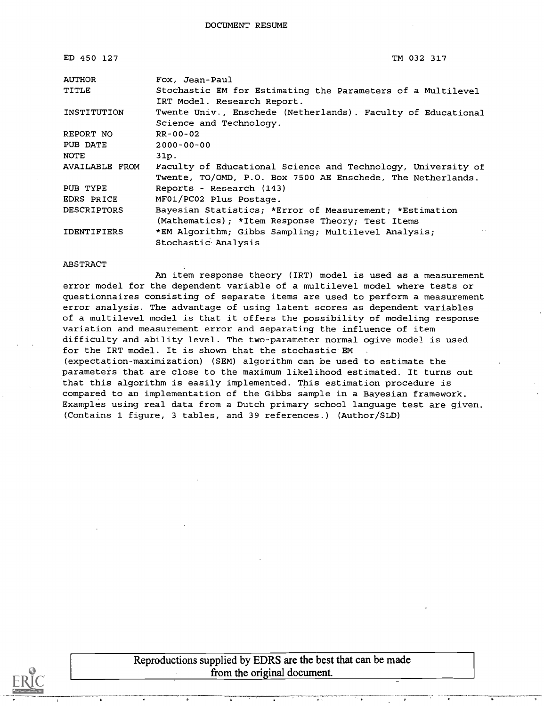| ED 450 127         | TM 032 317                                                                                                                  |
|--------------------|-----------------------------------------------------------------------------------------------------------------------------|
| <b>AUTHOR</b>      | Fox, Jean-Paul                                                                                                              |
| TITLE              | Stochastic EM for Estimating the Parameters of a Multilevel<br>IRT Model. Research Report.                                  |
| INSTITUTION        | Twente Univ., Enschede (Netherlands). Faculty of Educational<br>Science and Technology.                                     |
| REPORT NO          | RR-00-02                                                                                                                    |
| PUB DATE           | $2000 - 00 - 00$                                                                                                            |
| NOTE               | 31p.                                                                                                                        |
| AVAILABLE FROM     | Faculty of Educational Science and Technology, University of<br>Twente, TO/OMD, P.O. Box 7500 AE Enschede, The Netherlands. |
| PUB TYPE           | Reports - Research (143)                                                                                                    |
| EDRS PRICE         | MF01/PC02 Plus Postage.                                                                                                     |
| <b>DESCRIPTORS</b> | Bayesian Statistics; *Error of Measurement; *Estimation<br>(Mathematics); *Item Response Theory; Test Items                 |
| <b>IDENTIFIERS</b> | *EM Algorithm; Gibbs Sampling; Multilevel Analysis;<br>$\sim$<br>Stochastic Analysis                                        |

#### ABSTRACT

An item response theory (IRT) model is used as a measurement error model for the dependent variable of a multilevel model where tests or questionnaires consisting of separate items are used to perform a measurement error analysis. The advantage of using latent scores as dependent variables of a multilevel model is that it offers the possibility of modeling response variation and measurement error and separating the influence of item difficulty and ability level. The two-parameter normal ogive model is used for the IRT model. It is shown that the stochastic EM (expectation-maximization) (SEM) algorithm can be used to estimate the parameters that are close to the maximum likelihood estimated. It turns out that this algorithm is easily implemented. This estimation procedure is compared to an implementation of the Gibbs sample in a Bayesian framework. Examples using real data from a Dutch primary school language test are given. (Contains 1 figure, 3 tables, and 39 references.) (Author/SLD)



Reproductions supplied by EDRS are the best that can be made from the original document.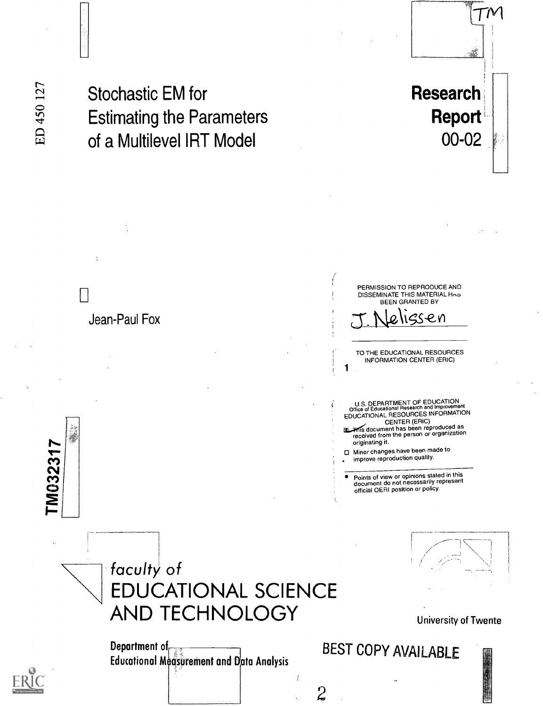M03231

Stochastic EM for Estimating the Parameters of a Multilevel IRT Model

# Research Report 00-02

 $\mathcal{T}^{\mathcal{N}}$ 



University of Twente

| <b>AND TECHNOLOGY</b>                                      |
|------------------------------------------------------------|
| Department of<br>Educational Montinement and Data Anglusic |

Educational Megsurement and Data Analysis

BEST COPY AVAILABLE

 $\overline{c}$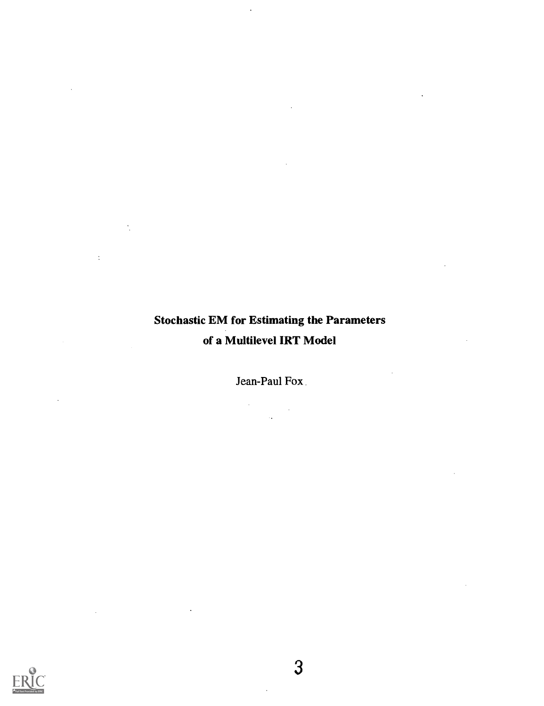## Stochastic EM for Estimating the Parameters of a Multilevel IRT Model

 $\sim$ 

 $\bar{A}$ 

 $\ddot{\phantom{a}}$ 

l,

Jean-Paul Fox.

 $\label{eq:2.1} \frac{d\mathbf{r}}{d\mathbf{r}} = \frac{1}{2\pi}\sum_{i=1}^N \frac{d\mathbf{r}}{d\mathbf{r}} \, .$ 



 $\bar{\mathcal{A}}$ 

 $\hat{\mathcal{L}}$ 

 $\sim 10^{-11}$ 

 $\sim 10^{-10}$ 

 $\ddot{\phantom{a}}$ 

 $\bar{z}$ 

 $\sim$   $\star$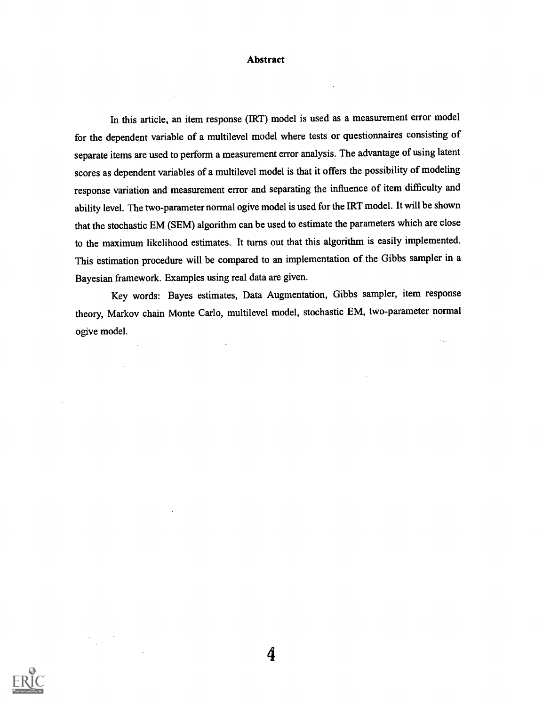#### Abstract

In this article, an item response (IRT) model is used as a measurement error model for the dependent variable of a multilevel model where tests or questionnaires consisting of separate items are used to perform a measurement error analysis. The advantage of using latent scores as dependent variables of a multilevel model is that it offers the possibility of modeling response variation and measurement error and separating the influence of item difficulty and ability level. The two-parameter normal ogive model is used for the IRT model. Itwill be shown that the stochastic EM (SEM) algorithm can be used to estimate the parameters which are close to the maximum likelihood estimates. It turns out that this algorithm is easily implemented. This estimation procedure will be compared to an implementation of the Gibbs sampler in a Bayesian framework. Examples using real data are given.

Key words: Bayes estimates, Data Augmentation, Gibbs sampler, item response theory, Markov chain Monte Carlo, multilevel model, stochastic EM, two-parameter normal ogive model.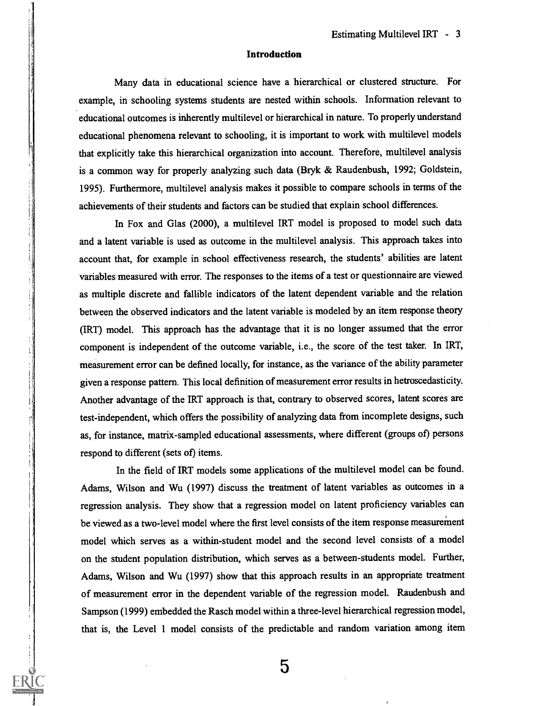#### Introduction

Many data in educational science have a hierarchical or clustered structure. For example, in schooling systems students are nested within schools. Information relevant to educational outcomes is inherently multilevel or hierarchical in nature. To properly understand educational phenomena relevant to schooling, it is important to work with multilevel models that explicitly take this hierarchical organization into account. Therefore, multilevel analysis is a common way for properly analyzing such data (Bryk & Raudenbush, 1992; Goldstein, 1995). Furthermore, multilevel analysis makes it possible to compare schools in terms of the achievements of their students and factors can be studied that explain school differences.

In Fox and Glas (2000), a multilevel IRT model is proposed to model such data and a latent variable is used as outcome in the multilevel analysis. This approach takes into account that, for example in school effectiveness research, the students' abilities are latent variables measured with error. The responses to the items of a test or questionnaire are viewed as multiple discrete and fallible indicators of the latent dependent variable and the relation between the observed indicators and the latent variable is modeled by an item response theory (IRT) model. This approach has the advantage that it is no longer assumed that the error component is independent of the outcome variable, i.e., the score of the test taker. In IRT, measurement error can be defined locally, for instance, as the variance of the ability parameter given a response pattern. This local definition of measurement error results in hetroscedasticity. Another advantage of the IRT approach is that, contrary to observed scores, latent scores are test-independent, which offers the possibility of analyzing data from incomplete designs, such as, for instance, matrix-sampled educational assessments, where different (groups of) persons respond to different (sets of) items.

In the field of IRT models some applications of the multilevel model can be found. Adams, Wilson and Wu (1997) discuss the treatment of latent variables as outcomes in a regression analysis. They show that a regression model on latent proficiency variables can be viewed as a two-level model where the first level consists of the item response measurement model which serves as a within-student model and the second level consists of a model on the student population distribution, which serves as a between-students model. Further, Adams, Wilson and Wu (1997) show that this approach results in an appropriate treatment of measurement error in the dependent variable of the regression model. Raudenbush and Sampson (1999) embedded the Rasch model within a three-level hierarchical regression model, that is, the Level 1 model consists of the predictable and random variation among item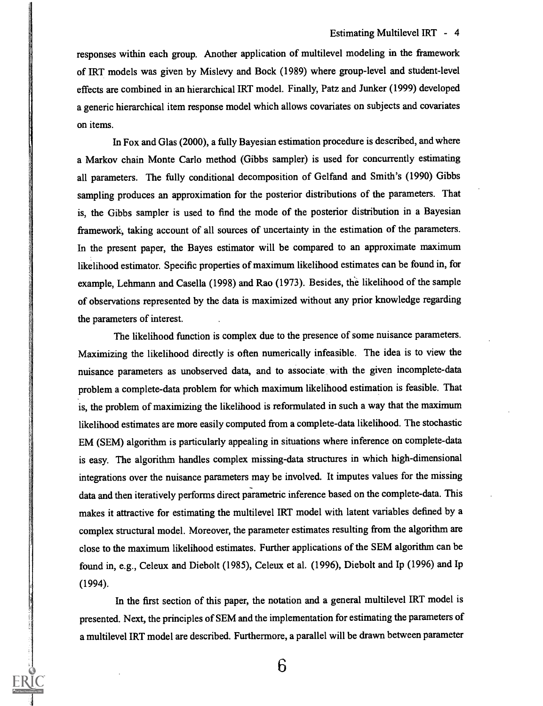responses within each group. Another application of multilevel modeling in the framework of IRT models was given by Mislevy and Bock (1989) where group-level and student-level effects are combined in an hierarchical IRT model. Finally, Patz and Junker (1999) developed a generic hierarchical item response model which allows covariates on subjects and covariates on items.

In Fox and Glas (2000), a fully Bayesian estimation procedure is described, and where a Markov chain Monte Carlo method (Gibbs sampler) is used for concurrently estimating all parameters. The fully conditional decomposition of Gelfand and Smith's (1990) Gibbs sampling produces an approximation for the posterior distributions of the parameters. That is, the Gibbs sampler is used to find the mode of the posterior distribution in a Bayesian framework; taking account of all sources of uncertainty in the estimation of the parameters. In the present paper, the Bayes estimator will be compared to an approximate maximum likelihood estimator. Specific properties of maximum likelihood estimates can be found in, for example, Lehmann and Casella (1998) and Rao (1973). Besides, the likelihood of the sample of observations represented by the data is maximized without any prior knowledge regarding the parameters of interest.

The likelihood function is complex due to the presence of some nuisance parameters. Maximizing the likelihood directly is often numerically infeasible. The idea is to view the nuisance parameters as unobserved data, and to associate with the given incomplete-data problem a complete-data problem for which maximum likelihood estimation is feasible. That is, the problem of maximizing the likelihood is reformulated in such a way that the maximum likelihood estimates are more easily computed from a complete-data likelihood. The stochastic EM (SEM) algorithm is particularly appealing in situations where inference on complete-data is easy. The algorithm handles complex missing-data structures in which high-dimensional integrations over the nuisance parameters may be involved. It imputes values for the missing data and then iteratively performs direct parametric inference based on the complete-data. This makes it attractive for estimating the multilevel IRT model with latent variables defined by a complex structural model. Moreover, the parameter estimates resulting from the algorithm are close to the maximum likelihood estimates. Further applications of the SEM algorithm can be found in, e.g., Celeux and Diebolt (1985), Celeux et al. (1996), Diebolt and Ip (1996) and Ip (1994).

In the first section of this paper, the notation and a general multilevel IRT model is presented. Next, the principles of SEM and the implementation for estimating the parameters of a multilevel IRT model are described. Furthermore, a parallel will be drawn between parameter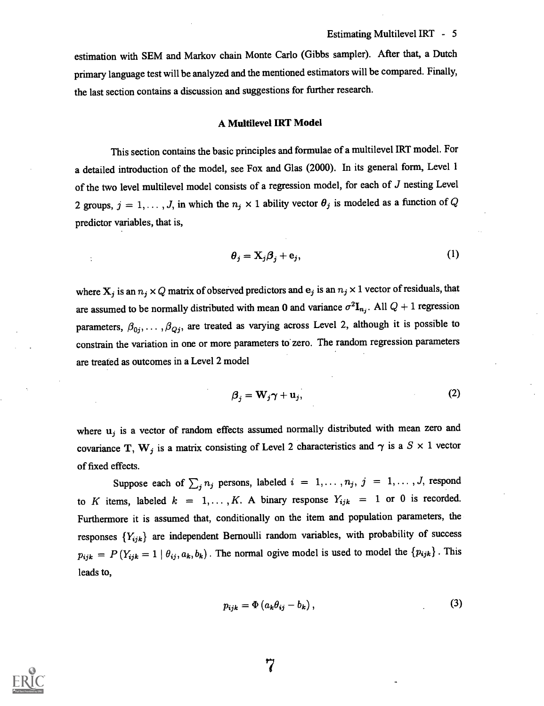estimation with SEM and Markov chain Monte Carlo (Gibbs sampler). After that, a Dutch primary language test will be analyzed and the mentioned estimators will be compared. Finally, the last section contains a discussion and suggestions for further research.

#### A Multilevel IRT Model

This section contains the basic principles and formulae of a multilevel IRT model. For a detailed introduction of the model, see Fox and Glas (2000). In its general form, Level 1 of the two level multilevel model consists of a regression model, for each of J nesting Level 2 groups,  $j = 1, ..., J$ , in which the  $n_j \times 1$  ability vector  $\theta_j$  is modeled as a function of Q predictor variables, that is,

$$
\theta_j = \mathbf{X}_j \boldsymbol{\beta}_j + \mathbf{e}_j,\tag{1}
$$

where  $X_j$  is an  $n_j \times Q$  matrix of observed predictors and  $e_j$  is an  $n_j \times 1$  vector of residuals, that are assumed to be normally distributed with mean 0 and variance  $\sigma^2I_{n_j}$ . All  $Q + 1$  regression parameters,  $\beta_{0j}, \ldots, \beta_{Qj}$ , are treated as varying across Level 2, although it is possible to constrain the variation in one or more parameters to' zero. The random regression parameters are treated as outcomes in a Level 2 model

$$
\beta_j = \mathbf{W}_j \boldsymbol{\gamma} + \mathbf{u}_j,\tag{2}
$$

where  $u_j$  is a vector of random effects assumed normally distributed with mean zero and covariance T, W<sub>j</sub> is a matrix consisting of Level 2 characteristics and  $\gamma$  is a  $S \times 1$  vector of fixed effects.

Suppose each of  $\sum_j n_j$  persons, labeled  $i = 1, \ldots, n_j$ ,  $j = 1, \ldots, J$ , respond to K items, labeled  $k = 1, ..., K$ . A binary response  $Y_{ijk} = 1$  or 0 is recorded. Furthermore it is assumed that, conditionally on the item and population parameters, the responses  ${Y_{ijk}}$  are independent Bernoulli random variables, with probability of success  $p_{ijk} = P(Y_{ijk} = 1 | \theta_{ij}, a_k, b_k)$ . The normal ogive model is used to model the  $\{p_{ijk}\}$ . This leads to,

$$
p_{ijk} = \Phi\left(a_k\theta_{ij} - b_k\right),\tag{3}
$$

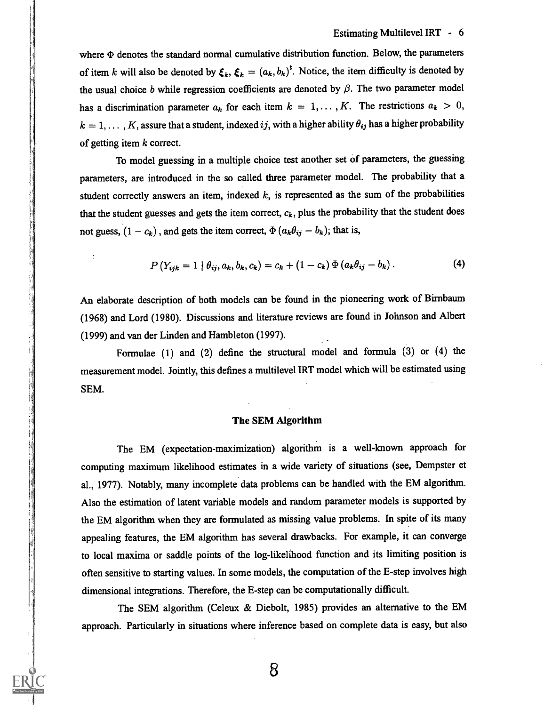where  $\Phi$  denotes the standard normal cumulative distribution function. Below, the parameters of item k will also be denoted by  $\xi_k$ ,  $\xi_k = (a_k, b_k)^t$ . Notice, the item difficulty is denoted by the usual choice b while regression coefficients are denoted by  $\beta$ . The two parameter model has a discrimination parameter  $a_k$  for each item  $k = 1, ..., K$ . The restrictions  $a_k > 0$ ,  $k = 1, \ldots, K$ , assure that a student, indexed ij, with a higher ability  $\theta_{ij}$  has a higher probability of getting item  $k$  correct.

To model guessing in a multiple choice test another set of parameters, the guessing parameters, are introduced in the so called three parameter model. The probability that a student correctly answers an item, indexed  $k$ , is represented as the sum of the probabilities that the student guesses and gets the item correct,  $c_k$ , plus the probability that the student does not guess,  $(1 - c_k)$ , and gets the item correct,  $\Phi(a_k\theta_{ij} - b_k)$ ; that is,

$$
P(Y_{ijk} = 1 | \theta_{ij}, a_k, b_k, c_k) = c_k + (1 - c_k) \Phi(a_k \theta_{ij} - b_k).
$$
 (4)

An elaborate description of both models can be found in the pioneering work of Birnbaum (1968) and Lord (1980). Discussions and literature reviews are found in Johnson and Albert (1999) and van der Linden and Hambleton (1997).

Formulae (1) and (2) define the structural model and formula (3) or (4) the measurement model. Jointly, this defines a multilevel IRT model which will be estimated using SEM.

#### The SEM Algorithm

The EM (expectation-maximization) algorithm is a well-known approach for computing maximum likelihood estimates in a wide variety of situations (see, Dempster et al., 1977). Notably, many incomplete data problems can be handled with the EM algorithm. Also the estimation of latent variable models and random parameter models is supported by the EM algorithm when they are formulated as missing value problems. In spite of its many appealing features, the EM algorithm has several drawbacks. For example, it can converge to local maxima or saddle points of the log-likelihood function and its limiting position is often sensitive to starting values. In some models, the computation of the E-step involves high dimensional integrations. Therefore, the E-step can be computationally difficult.

The SEM algorithm (Celeux & Diebolt, 1985) provides an alternative to the EM approach. Particularly in situations where inference based on complete data is easy, but also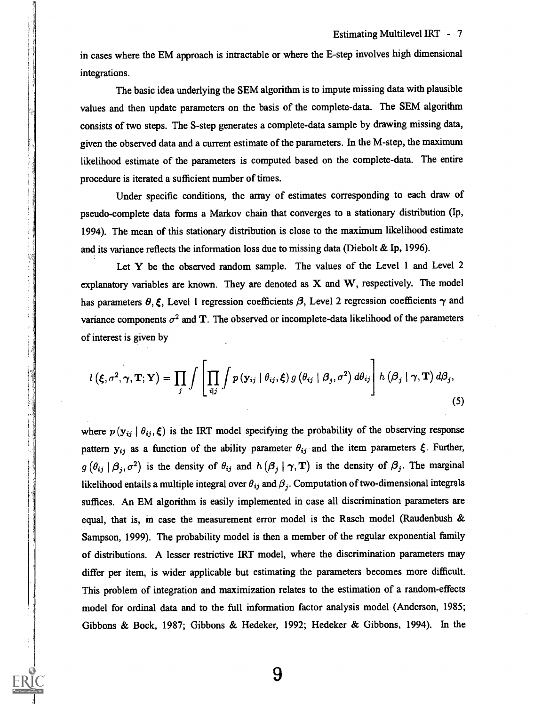in cases where the EM approach is intractable or where the E-step involves high dimensional integrations.

The basic idea underlying the SEM algorithm is to impute missing data with plausible values and then update parameters on the basis of the complete-data. The SEM algorithm consists of two steps. The S-step generates a complete-data sample by drawing missing data, given the observed data and a current estimate of the parameters. In the M-step, the maximum likelihood estimate of the parameters is computed based on the complete-data. The entire procedure is iterated a sufficient number of times.

Under specific conditions, the array of estimates corresponding to each draw of pseudo-complete data forms a Markov chain that converges to a stationary distribution (Ip, 1994). The mean of this stationary distribution is close to the maximum likelihood estimate and its variance reflects the information loss due to missing data (Diebolt & Ip, 1996).

Let Y be the observed random sample. The values of the Level 1 and Level 2 explanatory variables are known. They are denoted as X and W, respectively. The model has parameters  $\theta$ ,  $\xi$ , Level 1 regression coefficients  $\beta$ , Level 2 regression coefficients  $\gamma$  and variance components  $\sigma^2$  and T. The observed or incomplete-data likelihood of the parameters of interest is given by

$$
l\left(\xi,\sigma^2,\boldsymbol{\gamma},\mathbf{T};\mathbf{Y}\right)=\prod_j\int\left[\prod_{i\mid j}\int p\left(\mathbf{y}_{ij}\mid\theta_{ij},\xi\right)g\left(\theta_{ij}\mid\boldsymbol{\beta}_j,\sigma^2\right)d\theta_{ij}\right]h\left(\boldsymbol{\beta}_j\mid\boldsymbol{\gamma},\mathbf{T}\right)d\boldsymbol{\beta}_j,
$$
\n(5)

where  $p(\mathbf{y}_{ij} | \theta_{ij}, \xi)$  is the IRT model specifying the probability of the observing response pattern  $y_{ij}$  as a function of the ability parameter  $\theta_{ij}$  and the item parameters  $\xi$ . Further,  $g(\theta_{ij} | \beta_j, \sigma^2)$  is the density of  $\theta_{ij}$  and  $h(\beta_j | \gamma, T)$  is the density of  $\beta_j$ . The marginal likelihood entails a multiple integral over  $\theta_{ij}$  and  $\beta_j$ . Computation of two-dimensional integrals suffices. An EM algorithm is easily implemented in case all discrimination parameters are equal, that is, in case the measurement error model is the Rasch model (Raudenbush & Sampson, 1999). The probability model is then a member of the regular exponential family of distributions. A lesser restrictive IRT model, where the discrimination parameters may differ per item, is wider applicable but estimating the parameters becomes more difficult. This problem of integration and maximization relates to the estimation of a random-effects model for ordinal data and to the full information factor analysis model (Anderson, 1985; Gibbons & Bock, 1987; Gibbons & Hedeker, 1992; Hedeker & Gibbons, 1994). In the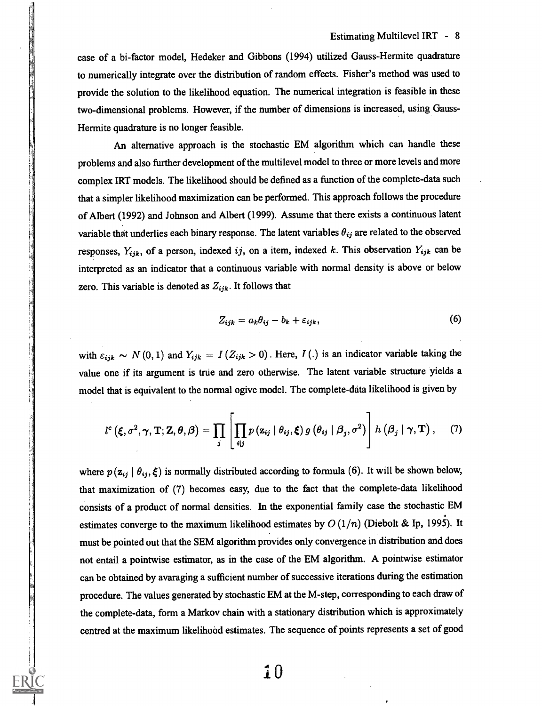case of a bi-factor model, Hedeker and Gibbons (1994) utilized Gauss-Hermite quadrature to numerically integrate over the distribution of random effects. Fisher's method was used to provide the solution to the likelihood equation. The numerical integration is feasible in these two-dimensional problems. However, if the number of dimensions is increased, using Gauss-Hermite quadrature is no longer feasible.

An alternative approach is the stochastic EM algorithm which can handle these problems and also further development of the multilevel model to three or more levels and more complex IRT models. The likelihood should be defined as a function of the complete-data such that a simpler likelihood maximization can be performed. This approach follows the procedure of Albert (1992) and Johnson and Albert (1999). Assume that there exists a continuous latent variable that underlies each binary response. The latent variables  $\theta_{ij}$  are related to the observed responses,  $Y_{ijk}$ , of a person, indexed ij, on a item, indexed k. This observation  $Y_{ijk}$  can be interpreted as an indicator that a continuous variable with normal density is above or below zero. This variable is denoted as  $Z_{ijk}$ . It follows that

$$
Z_{ijk} = a_k \theta_{ij} - b_k + \varepsilon_{ijk}, \qquad (6)
$$

with  $\varepsilon_{ijk} \sim N(0, 1)$  and  $Y_{ijk} = I(Z_{ijk} > 0)$ . Here,  $I(.)$  is an indicator variable taking the value one if its argument is true and zero otherwise. The latent variable structure yields a model that is equivalent to the normal ogive model. The complete-data likelihood is given by

$$
l^{c}\left(\boldsymbol{\xi},\sigma^{2},\boldsymbol{\gamma},\mathbf{T};\mathbf{Z},\boldsymbol{\theta},\boldsymbol{\beta}\right)=\prod_{j}\left[\prod_{i|j}p\left(\mathbf{z}_{ij}\mid\theta_{ij},\boldsymbol{\xi}\right)g\left(\theta_{ij}\mid\boldsymbol{\beta}_{j},\sigma^{2}\right)\right]h\left(\boldsymbol{\beta}_{j}\mid\boldsymbol{\gamma},\mathbf{T}\right),\quad(7)
$$

where  $p(\mathbf{z}_{ij} | \theta_{ij}, \xi)$  is normally distributed according to formula (6). It will be shown below, that maximization of (7) becomes easy, due to the fact that the complete-data likelihood consists of a product of normal densities. In the exponential family case the stochastic EM estimates converge to the maximum likelihood estimates by  $O(1/n)$  (Diebolt & Ip, 1995). It must be pointed out that the SEM algorithm provides only convergence in distribution and does not entail a pointwise estimator, as in the case of the EM algorithm. A pointwise estimator can be obtained by avaraging a sufficient number of successive iterations during the estimation procedure. The values generated by stochastic EM at the M-step, corresponding to each draw of the complete-data, form a Markov chain with a stationary distribution which is approximately centred at the maximum likelihood estimates. The sequence of points represents a set of good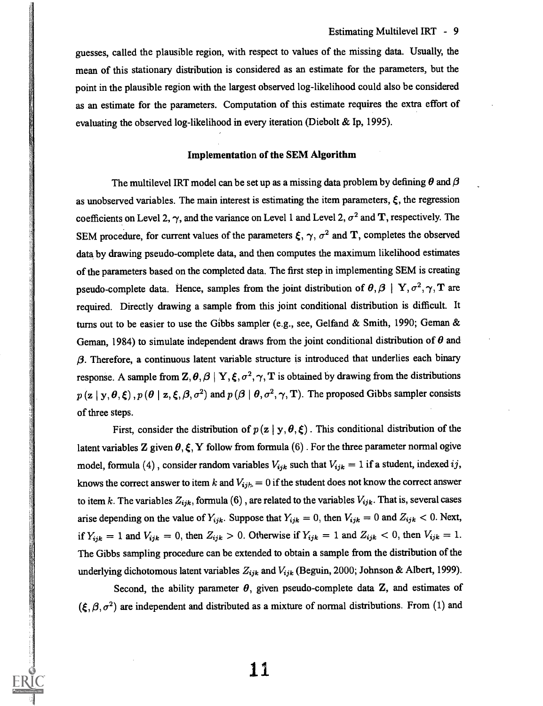guesses, called the plausible region, with respect to values of the missing data. Usually, the mean of this stationary distribution is considered as an estimate for the parameters, but the point in the plausible region with the largest observed log-likelihood could also be considered as an estimate for the parameters. Computation of this estimate requires the extra effort of evaluating the observed log-likelihood in every iteration (Diebolt & Ip, 1995).

#### Implementation of the SEM Algorithm

The multilevel IRT model can be set up as a missing data problem by defining  $\theta$  and  $\beta$ as unobserved variables. The main interest is estimating the item parameters,  $\xi$ , the regression coefficients on Level 2,  $\gamma$ , and the variance on Level 1 and Level 2,  $\sigma^2$  and T, respectively. The SEM procedure, for current values of the parameters  $\xi$ ,  $\gamma$ ,  $\sigma^2$  and T, completes the observed data by drawing pseudo-complete data, and then computes the maximum likelihood estimates of the parameters based on the completed data. The first step in implementing SEM is creating pseudo-complete data. Hence, samples from the joint distribution of  $\theta$ ,  $\beta$  | Y,  $\sigma^2$ ,  $\gamma$ , T are required. Directly drawing a sample from this joint conditional distribution is difficult. It turns out to be easier to use the Gibbs sampler (e.g., see, Gelfand & Smith, 1990; Geman & Geman, 1984) to simulate independent draws from the joint conditional distribution of  $\theta$  and  $\beta$ . Therefore, a continuous latent variable structure is introduced that underlies each binary response. A sample from  $\mathbf{Z}, \theta, \beta \mid \mathbf{Y}, \xi, \sigma^2, \gamma, \mathbf{T}$  is obtained by drawing from the distributions  $p(z | y, \theta, \xi), p(\theta | z, \xi, \beta, \sigma^2)$  and  $p(\theta | \theta, \sigma^2, \gamma, T)$ . The proposed Gibbs sampler consists of three steps.

First, consider the distribution of  $p(z | y, \theta, \xi)$ . This conditional distribution of the latent variables Z given  $\theta, \xi, Y$  follow from formula (6). For the three parameter normal ogive model, formula (4), consider random variables  $V_{ijk}$  such that  $V_{ijk} = 1$  if a student, indexed ij, knows the correct answer to item k and  $V_{ijk} = 0$  if the student does not know the correct answer to item k. The variables  $Z_{ijk}$ , formula (6), are related to the variables  $V_{ijk}$ . That is, several cases arise depending on the value of  $Y_{ijk}$ . Suppose that  $Y_{ijk} = 0$ , then  $V_{ijk} = 0$  and  $Z_{ijk} < 0$ . Next, if  $Y_{ijk} = 1$  and  $V_{ijk} = 0$ , then  $Z_{ijk} > 0$ . Otherwise if  $Y_{ijk} = 1$  and  $Z_{ijk} < 0$ , then  $V_{ijk} = 1$ . The Gibbs sampling procedure can be extended to obtain a sample from the distribution of the underlying dichotomous latent variables  $Z_{ijk}$  and  $V_{ijk}$  (Beguin, 2000; Johnson & Albert, 1999).

Second, the ability parameter  $\theta$ , given pseudo-complete data Z, and estimates of  $(\xi, \beta, \sigma^2)$  are independent and distributed as a mixture of normal distributions. From (1) and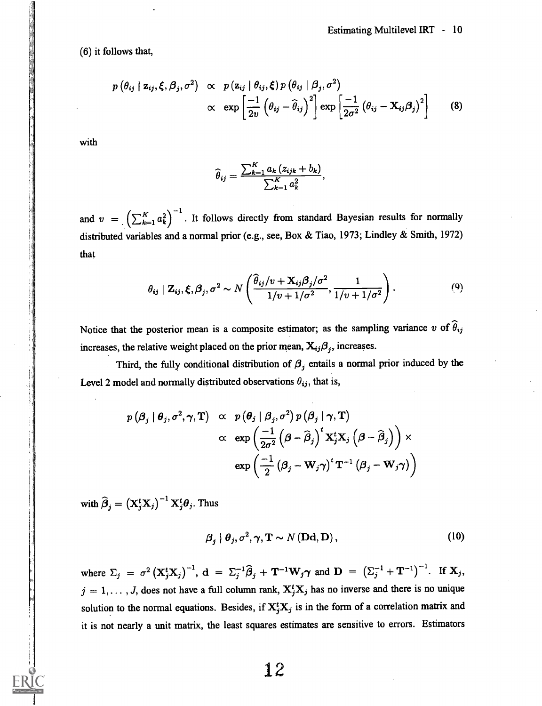(6) it follows that,

$$
p(\theta_{ij} | \mathbf{z}_{ij}, \boldsymbol{\xi}, \boldsymbol{\beta}_j, \sigma^2) \propto p(\mathbf{z}_{ij} | \theta_{ij}, \boldsymbol{\xi}) p(\theta_{ij} | \boldsymbol{\beta}_j, \sigma^2) \propto \exp \left[\frac{-1}{2v} (\theta_{ij} - \widehat{\theta}_{ij})^2\right] \exp \left[\frac{-1}{2\sigma^2} (\theta_{ij} - \mathbf{X}_{ij} \boldsymbol{\beta}_j)^2\right]
$$
(8)

with

$$
\widehat{\theta}_{ij} = \frac{\sum_{k=1}^{K} a_k (z_{ijk} + b_k)}{\sum_{k=1}^{K} a_k^2},
$$

and  $v = \left(\sum_{k=1}^K a_k^2\right)^{-1}$ . It follows directly from standard Bayesian results for normally distributed variables and a normal prior (e.g., see, Box & Tiao, 1973; Lindley & Smith, 1972) that

$$
\theta_{ij} \mid \mathbf{Z}_{ij}, \xi, \beta_j, \sigma^2 \sim N\left(\frac{\widehat{\theta}_{ij}/v + \mathbf{X}_{ij}\beta_j/\sigma^2}{1/v + 1/\sigma^2}, \frac{1}{1/v + 1/\sigma^2}\right). \tag{9}
$$

Notice that the posterior mean is a composite estimator; as the sampling variance v of  $\hat{\theta}_{ij}$ increases, the relative weight placed on the prior mean,  $X_{ij}\beta_j$ , increases.

Third, the fully conditional distribution of  $\beta_j$  entails a normal prior induced by the Level 2 model and normally distributed observations  $\theta_{ij}$ , that is,

$$
p(\beta_j | \theta_j, \sigma^2, \gamma, \mathbf{T}) \propto p(\theta_j | \beta_j, \sigma^2) p(\beta_j | \gamma, \mathbf{T})
$$
  
 
$$
\propto \exp\left(\frac{-1}{2\sigma^2} (\beta - \widehat{\beta}_j)^t \mathbf{X}_j^t \mathbf{X}_j (\beta - \widehat{\beta}_j) \right) \times
$$
  
 
$$
\exp\left(\frac{-1}{2} (\beta_j - \mathbf{W}_j \gamma)^t \mathbf{T}^{-1} (\beta_j - \mathbf{W}_j \gamma) \right)
$$

with  $\widehat{\boldsymbol{\beta}}_j = (\mathbf{X}_j^t \mathbf{X}_j)^{-1} \mathbf{X}_j^t \boldsymbol{\theta}_j$ . Thus

$$
\beta_j \mid \theta_j, \sigma^2, \gamma, \mathbf{T} \sim N(\mathbf{Dd}, \mathbf{D}), \tag{10}
$$

where  $\Sigma_j = \sigma^2 (\mathbf{X}_j^t \mathbf{X}_j)^{-1}$ ,  $\mathbf{d} = \Sigma_j^{-1} \widehat{\boldsymbol{\beta}}_j + \mathbf{T}^{-1} \mathbf{W}_j \gamma$  and  $\mathbf{D} = (\Sigma_j^{-1} + \mathbf{T}^{-1})^{-1}$ . If  $\mathbf{X}_j$ ,  $j = 1, \ldots, J$ , does not have a full column rank,  $X_j^t X_j$  has no inverse and there is no unique solution to the normal equations. Besides, if  $X_i^t X_j$  is in the form of a correlation matrix and it is not nearly a unit matrix, the least squares estimates are sensitive to errors. Estimators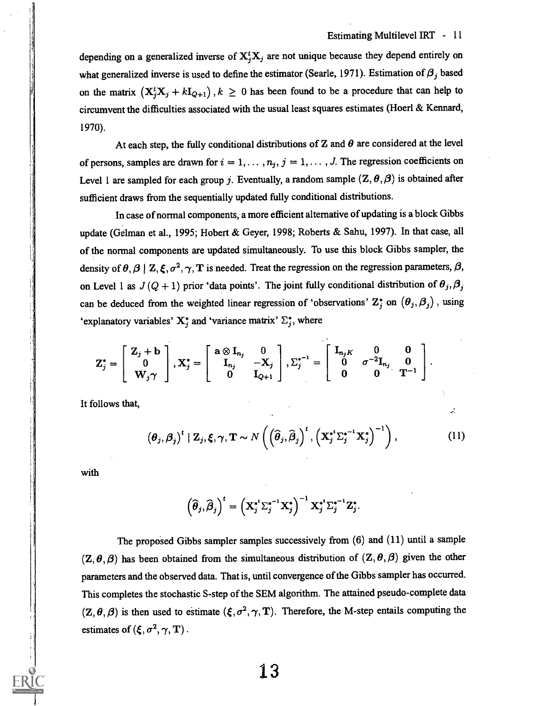$\frac{1}{\sqrt{2}}$ 

depending on a generalized inverse of  $X_j^t X_j$  are not unique because they depend entirely on what generalized inverse is used to define the estimator (Searle, 1971). Estimation of  $\beta_j$  based on the matrix  $(X_j^t X_j + kI_{Q+1})$ ,  $k \geq 0$  has been found to be a procedure that can help to circumvent the difficulties associated with the usual least squares estimates (Hoer! & Kennard, 1970).

At each step, the fully conditional distributions of Z and  $\theta$  are considered at the level of persons, samples are drawn for  $i = 1, \ldots, n_j$ ,  $j = 1, \ldots, J$ . The regression coefficients on Level 1 are sampled for each group j. Eventually, a random sample  $(Z, \theta, \beta)$  is obtained after sufficient draws from the sequentially updated fully conditional distributions.

In case of normal components, a more efficient alternative of updating is a block Gibbs update (Gelman et al., 1995; Hobert & Geyer, 1998; Roberts & Sahu, 1997). In that case, all of the normal components are updated simultaneously. To use this block Gibbs sampler, the density of  $\theta$ ,  $\beta$  | Z,  $\xi$ ,  $\sigma^2$ ,  $\gamma$ , T is needed. Treat the regression on the regression parameters,  $\beta$ , on Level 1 as  $J(Q + 1)$  prior 'data points'. The joint fully conditional distribution of  $\theta_j$ ,  $\beta_j$ can be deduced from the weighted linear regression of 'observations'  $Z_j^*$  on  $(\theta_j, \beta_j)$ , using 'explanatory variables'  $X_j^*$  and 'variance matrix'  $\Sigma_j^*$ , where

$$
Z_j^* = \begin{bmatrix} Z_j + b \\ 0 \\ W_j \gamma \end{bmatrix}, X_j^* = \begin{bmatrix} a \otimes I_{n_j} & 0 \\ I_{n_j} & -X_j \\ 0 & I_{Q+1} \end{bmatrix}, \Sigma_j^{*-1} = \begin{bmatrix} I_{n_j K} & 0 & 0 \\ 0 & \sigma^{-2} I_{n_j} & 0 \\ 0 & 0 & T^{-1} \end{bmatrix}.
$$

It follows that,

$$
\left(\boldsymbol{\theta}_j, \boldsymbol{\beta}_j\right)^t | \mathbf{Z}_j, \boldsymbol{\xi}, \boldsymbol{\gamma}, \mathbf{T} \sim N\left(\left(\widehat{\boldsymbol{\theta}}_j, \widehat{\boldsymbol{\beta}}_j\right)^t, \left(\mathbf{X}_j^{*^t} \boldsymbol{\Sigma}_j^{*^{-1}} \mathbf{X}_j^*\right)^{-1}\right), \tag{11}
$$

with

$$
\left(\widehat{\boldsymbol{\theta}}_j,\widehat{\boldsymbol{\beta}}_j\right)^t=\left(\mathbf{X}_j^{*^t}\Sigma_j^{*^{-1}}\mathbf{X}_j^*\right)^{-1}\mathbf{X}_j^{*^t}\Sigma_j^{*^{-1}}\mathbf{Z}_j^*.
$$

The proposed Gibbs sampler samples successively from (6) and (11) until a sample  $(Z, \theta, \beta)$  has been obtained from the simultaneous distribution of  $(Z, \theta, \beta)$  given the other parameters and the observed data. That is, until convergence of the Gibbs sampler has occurred. This completes the stochastic S-step of the SEM algorithm. The attained pseudo-complete data  $(Z, \theta, \beta)$  is then used to estimate  $(\xi, \sigma^2, \gamma, T)$ . Therefore, the M-step entails computing the estimates of  $(\xi, \sigma^2, \gamma, T)$ .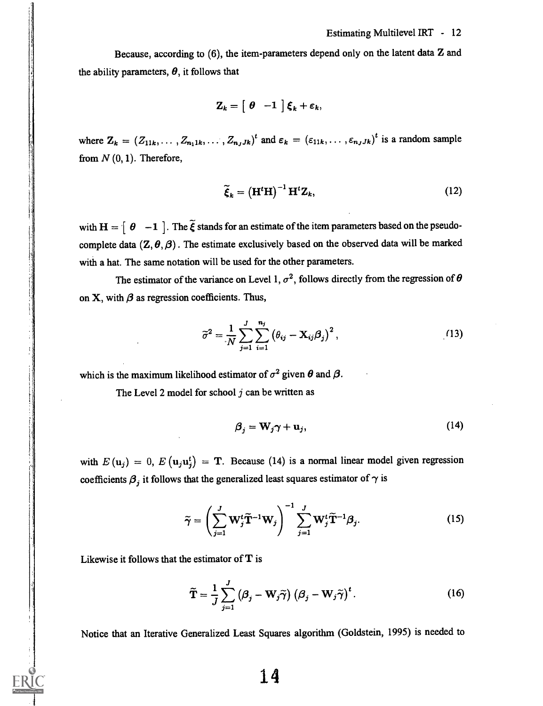Because, according to (6), the item-parameters depend only on the latent data Z and the ability parameters,  $\theta$ , it follows that

$$
\mathbf{Z}_k = \begin{bmatrix} \theta & -1 \end{bmatrix} \boldsymbol{\xi}_k + \boldsymbol{\varepsilon}_k,
$$

where  $\mathbf{Z}_k = (Z_{11k}, \dots, Z_{n_11k}, \dots, Z_{n_JJk})^t$  and  $\epsilon_k = (\epsilon_{11k}, \dots, \epsilon_{n_JJk})^t$  is a random sample from  $N(0, 1)$ . Therefore,

$$
\widetilde{\xi}_k = \left(\mathbf{H}^t \mathbf{H}\right)^{-1} \mathbf{H}^t \mathbf{Z}_k, \tag{12}
$$

with  $H = \begin{bmatrix} \theta & -1 \end{bmatrix}$ . The  $\tilde{\xi}$  stands for an estimate of the item parameters based on the pseudocomplete data  $(\mathbb{Z}, \theta, \beta)$ . The estimate exclusively based on the observed data will be marked with a hat. The same notation will be used for the other parameters.

The estimator of the variance on Level 1,  $\sigma^2$ , follows directly from the regression of  $\theta$ on X, with  $\beta$  as regression coefficients. Thus,

$$
\widetilde{\sigma}^2 = \frac{1}{N} \sum_{j=1}^J \sum_{i=1}^{n_j} \left( \theta_{ij} - \mathbf{X}_{ij} \boldsymbol{\beta}_j \right)^2, \qquad (13)
$$

which is the maximum likelihood estimator of  $\sigma^2$  given  $\theta$  and  $\beta$ .

The Level 2 model for school  $j$  can be written as

$$
\beta_j = \mathbf{W}_j \boldsymbol{\gamma} + \mathbf{u}_j,\tag{14}
$$

with  $E(\mathbf{u}_j) = 0$ ,  $E(\mathbf{u}_j \mathbf{u}_j) = \mathbf{T}$ . Because (14) is a normal linear model given regression coefficients  $\beta_j$  it follows that the generalized least squares estimator of  $\gamma$  is

$$
\widetilde{\gamma} = \left(\sum_{j=1}^{J} \mathbf{W}_{j}^{t} \widetilde{\mathbf{T}}^{-1} \mathbf{W}_{j}\right)^{-1} \sum_{j=1}^{J} \mathbf{W}_{j}^{t} \widetilde{\mathbf{T}}^{-1} \beta_{j}.
$$
 (15)

Likewise it follows that the estimator of  $T$  is

$$
\widetilde{\mathbf{T}} = \frac{1}{J} \sum_{j=1}^{J} \left( \boldsymbol{\beta}_j - \mathbf{W}_j \widetilde{\boldsymbol{\gamma}} \right) \left( \boldsymbol{\beta}_j - \mathbf{W}_j \widetilde{\boldsymbol{\gamma}} \right)^t.
$$
 (16)

Notice that an Iterative Generalized Least Squares algorithm (Goldstein, 1995) is needed to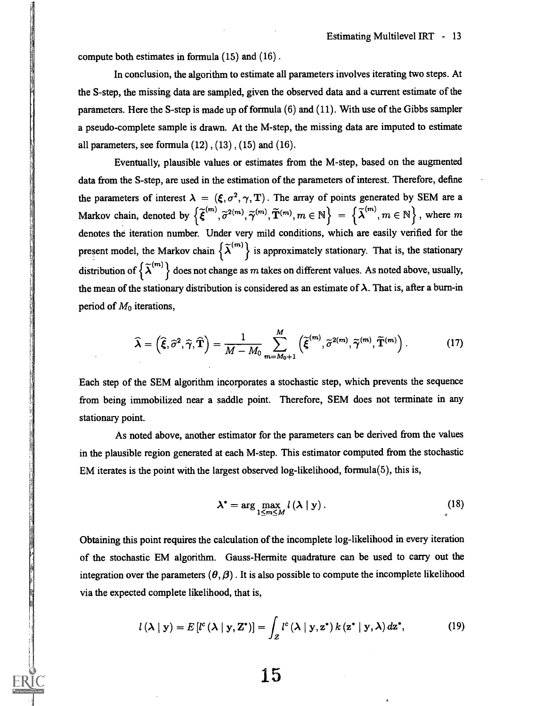compute both estimates in formula (15) and (16) .

In conclusion, the algorithm to estimate all parameters involves iterating two steps. At the S-step, the missing data are sampled, given the observed data and a current estimate of the parameters. Here the S-step is made up of formula (6) and (11). With use of the Gibbs sampler a pseudo-complete sample is drawn. At the M-step, the missing data are imputed to estimate all parameters, see formula  $(12)$ ,  $(13)$ ,  $(15)$  and  $(16)$ .

Eventually, plausible values or estimates from the M-step, based on the augmented data from the S-step, are used in the estimation of the parameters of interest. Therefore, define the parameters of interest  $\lambda = (\xi, \sigma^2, \gamma, T)$ . The array of points generated by SEM are a Markov chain, denoted by  $\left\{ \widetilde{\boldsymbol{\xi}}^{(m)}, \widetilde{\sigma}^{2(m)}, \widetilde{\boldsymbol{\gamma}}^{(m)}, \widetilde{\mathbf{T}}^{(m)}, m \in \mathbb{N} \right\}$  =  $\left\{ \widetilde{\boldsymbol{\lambda}}^{(m)}, m \in \mathbb{N} \right\}$ , where m denotes the iteration number. Under very mild conditions, which are easily verified for the present model, the Markov chain  $\{\tilde{\lambda}^{(m)}\}$  is approximately stationary. That is, the stationary distribution of  $\{\tilde{\lambda}^{(m)}\}$  does not change as m takes on different values. As noted above, usually, the mean of the stationary distribution is considered as an estimate of  $\lambda$ . That is, after a burn-in period of  $M_0$  iterations,

$$
\widehat{\boldsymbol{\lambda}} = \left(\widehat{\boldsymbol{\xi}}, \widehat{\sigma}^2, \widehat{\boldsymbol{\gamma}}, \widehat{\mathbf{T}}\right) = \frac{1}{M - M_0} \sum_{m=M_0+1}^{M} \left(\widetilde{\boldsymbol{\xi}}^{(m)}, \widetilde{\sigma}^{2(m)}, \widetilde{\boldsymbol{\gamma}}^{(m)}, \widetilde{\mathbf{T}}^{(m)}\right). \tag{17}
$$

Each step of the SEM algorithm incorporates a stochastic step, which prevents the sequence from being immobilized near a saddle point. Therefore, SEM does not terminate in any stationary point.

As noted above, another estimator for the parameters can be derived from the values in the plausible region generated at each M-step. This estimator computed from the stochastic EM iterates is the point with the largest observed log-likelihood, formula(5), this is,

$$
\lambda^* = \arg \max_{1 \le m \le M} l(\lambda \mid \mathbf{y}). \tag{18}
$$

Obtaining this point requires the calculation of the incomplete log-likelihood in every iteration of the stochastic EM algorithm. Gauss-Hermite quadrature can be used to carry out the integration over the parameters  $(\theta, \beta)$ . It is also possible to compute the incomplete likelihood via the expected complete likelihood, that is,

$$
l(\lambda \mid \mathbf{y}) = E\left[l^{c}(\lambda \mid \mathbf{y}, \mathbf{Z}^{*})\right] = \int_{\mathcal{Z}} l^{c}(\lambda \mid \mathbf{y}, \mathbf{z}^{*}) k(\mathbf{z}^{*} \mid \mathbf{y}, \lambda) d\mathbf{z}^{*},
$$
 (19)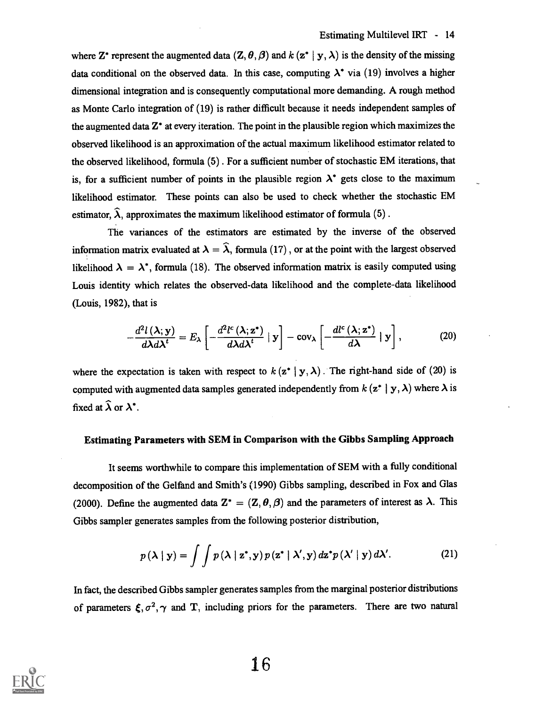where Z<sup>\*</sup> represent the augmented data  $(Z, \theta, \beta)$  and  $k$  ( $z^*$  |  $y, \lambda$ ) is the density of the missing data conditional on the observed data. In this case, computing  $\lambda^*$  via (19) involves a higher dimensional integration and is consequently computational more demanding. A rough method as Monte Carlo integration of (19) is rather difficult because it needs independent samples of the augmented data Z\* at every iteration. The point in the plausible region which maximizes the observed likelihood is an approximation of the actual maximum likelihood estimator related to the observed likelihood, formula (5) . For a sufficient number of stochastic EM iterations, that is, for a sufficient number of points in the plausible region  $\lambda^*$  gets close to the maximum likelihood estimator. These points can also be used to check whether the stochastic EM estimator,  $\hat{\lambda}$ , approximates the maximum likelihood estimator of formula (5).

The variances of the estimators are estimated by the inverse of the observed information matrix evaluated at  $\lambda = \hat{\lambda}$ , formula (17), or at the point with the largest observed likelihood  $\lambda = \lambda^*$ , formula (18). The observed information matrix is easily computed using Louis identity which relates the observed-data likelihood and the complete-data likelihood (Louis, 1982), that is

$$
-\frac{d^2l\left(\lambda; \mathbf{y}\right)}{d\lambda d\lambda^t}=E_\lambda\left[-\frac{d^2l^c\left(\lambda; \mathbf{z}^*\right)}{d\lambda d\lambda^t}\mid \mathbf{y}\right]-\text{cov}_\lambda\left[-\frac{dl^c\left(\lambda; \mathbf{z}^*\right)}{d\lambda}\mid \mathbf{y}\right],\tag{20}
$$

where the expectation is taken with respect to  $k(\mathbf{z}^* | \mathbf{y}, \lambda)$ . The right-hand side of (20) is computed with augmented data samples generated independently from  $k$  ( $z^*$  |  $y$ ,  $\lambda$ ) where  $\lambda$  is fixed at  $\widehat{\lambda}$  or  $\lambda^*$ .

#### Estimating Parameters with SEM in Comparison with the Gibbs Sampling Approach

It seems worthwhile to compare this implementation of SEM with a fully conditional decomposition of the Gelfand and Smith's (1990) Gibbs sampling, described in Fox and Glas (2000). Define the augmented data  $\mathbf{Z}^* = (\mathbf{Z}, \theta, \beta)$  and the parameters of interest as  $\lambda$ . This Gibbs sampler generates samples from the following posterior distribution,

$$
p(\lambda \mid \mathbf{y}) = \int \int p(\lambda \mid \mathbf{z}^*, \mathbf{y}) p(\mathbf{z}^* \mid \lambda', \mathbf{y}) d\mathbf{z}^* p(\lambda' \mid \mathbf{y}) d\lambda'.
$$
 (21)

In fact, the described Gibbs sampler generates samples from the marginal posterior distributions of parameters  $\xi, \sigma^2, \gamma$  and T, including priors for the parameters. There are two natural

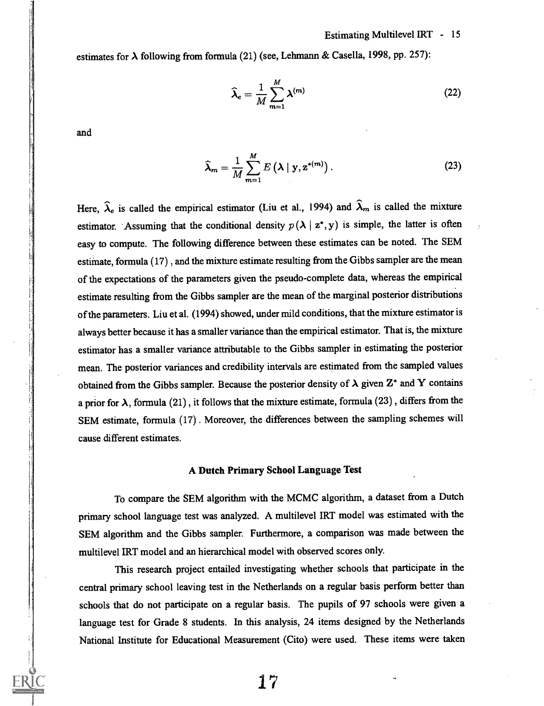#### Estimating Multilevel IRT - 15

estimates for  $\lambda$  following from formula (21) (see, Lehmann & Casella, 1998, pp. 257):

$$
\widehat{\lambda}_e = \frac{1}{M} \sum_{m=1}^{M} \lambda^{(m)} \tag{22}
$$

and

$$
\widehat{\boldsymbol{\lambda}}_m = \frac{1}{M} \sum_{m=1}^{M} E\left(\boldsymbol{\lambda} \mid \mathbf{y}, \mathbf{z}^{*(m)}\right). \tag{23}
$$

Here,  $\hat{\lambda}_e$  is called the empirical estimator (Liu et al., 1994) and  $\hat{\lambda}_m$  is called the mixture estimator. Assuming that the conditional density  $p(\lambda | z^*, y)$  is simple, the latter is often easy to compute. The following difference between these estimates can be noted. The SEM estimate, formula (17) , and the mixture estimate resulting from the Gibbs sampler are the mean of the expectations of the parameters given the pseudo-complete data, whereas the empirical estimate resulting from the Gibbs sampler are the mean of the marginal posterior distributions of the parameters. Liu et al. (1994) showed, under mild conditions, that the mixture estimator is always better because it has a smaller variance than the empirical estimator. That is, the mixture estimator has a smaller variance attributable to the Gibbs sampler in estimating the posterior mean. The posterior variances and credibility intervals are estimated from the sampled values obtained from the Gibbs sampler. Because the posterior density of  $\lambda$  given  $Z^*$  and Y contains a prior for  $\lambda$ , formula (21), it follows that the mixture estimate, formula (23), differs from the SEM estimate, formula (17) . Moreover, the differences between the sampling schemes will cause different estimates.

#### A Dutch Primary School Language Test

To compare the SEM algorithm with the MCMC algorithm, a dataset from a Dutch primary school language test was analyzed. A multilevel IRT model was estimated with the SEM algorithm and the Gibbs sampler. Furthermore, a comparison was made between the multilevel IRT model and an hierarchical model with observed scores only.

This research project entailed investigating whether schools that participate in the central primary school leaving test in the Netherlands on a regular basis perform better than schools that do not participate on a regular basis. The pupils of 97 schools were given a language test for Grade 8 students. In this analysis, 24 items designed by the Netherlands National Institute for Educational Measurement (Cito) were used. These items were taken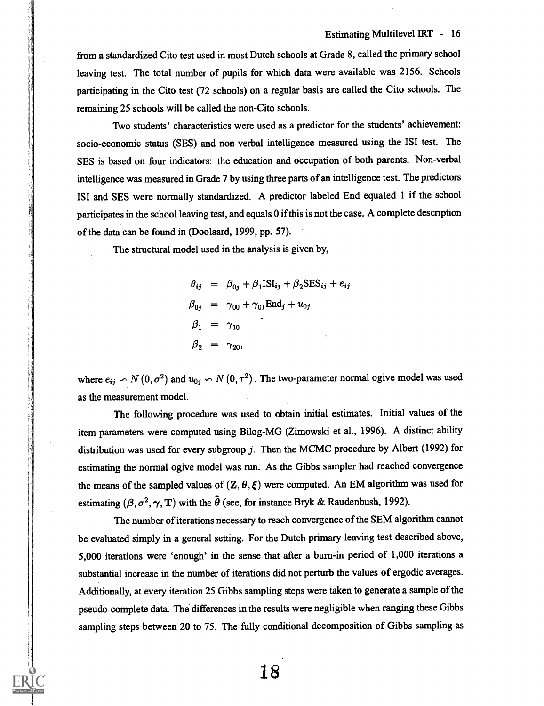from a standardized Cito test used in most Dutch schools at Grade 8, called the primary school leaving test. The total number of pupils for which data were available was 2156. Schools participating in the Cito test (72 schools) on a regular basis are called the Cito schools. The remaining 25 schools will be called the non-Cito schools.

Two students' characteristics were used as a predictor for the students' achievement: socio-economic status (SES) and non-verbal intelligence measured using the ISI test. The SES is based on four indicators: the education and occupation of both parents. Non-verbal intelligence was measured in Grade 7 by using three parts of an intelligence test. The predictors ISI and SES were normally standardized. A predictor labeled End equaled 1 if the school participates in the school leaving test, and equals 0 if this is not the case. A complete description of the data can be found in (Doolaard, 1999, pp. 57).

The structural model used in the analysis is given by,

$$
\theta_{ij} = \beta_{0j} + \beta_1 \text{ISI}_{ij} + \beta_2 \text{SES}_{ij} + e_{ij}
$$
  
\n
$$
\beta_{0j} = \gamma_{00} + \gamma_{01} \text{End}_j + u_{0j}
$$
  
\n
$$
\beta_1 = \gamma_{10}
$$
  
\n
$$
\beta_2 = \gamma_{20},
$$

where  $e_{ij} \backsim N(0, \sigma^2)$  and  $u_{0j} \backsim N(0, \tau^2)$ . The two-parameter normal ogive model was used as the measurement model.

The following procedure was used to obtain initial estimates. Initial values of the item parameters were computed using Bilog-MG (Zimowski et al., 1996). A distinct ability distribution was used for every subgroup  $j$ . Then the MCMC procedure by Albert (1992) for estimating the normal ogive model was run. As the Gibbs sampler had reached convergence the means of the sampled values of  $(Z, \theta, \xi)$  were computed. An EM algorithm was used for estimating  $(\beta, \sigma^2, \gamma, T)$  with the  $\hat{\theta}$  (see, for instance Bryk & Raudenbush, 1992).

The number of iterations necessary to reach convergence of the SEM algorithm cannot be evaluated simply in a general setting. For the Dutch primary leaving test described above, 5,000 iterations were 'enough' in the sense that after a burn-in period of 1,000 iterations a substantial increase in the number of iterations did not perturb the values of ergodic averages. Additionally, at every iteration 25 Gibbs sampling steps were taken to generate a sample of the pseudo-complete data. The differences in the results were negligible when ranging these Gibbs sampling steps between 20 to 75. The fully conditional decomposition of Gibbs sampling as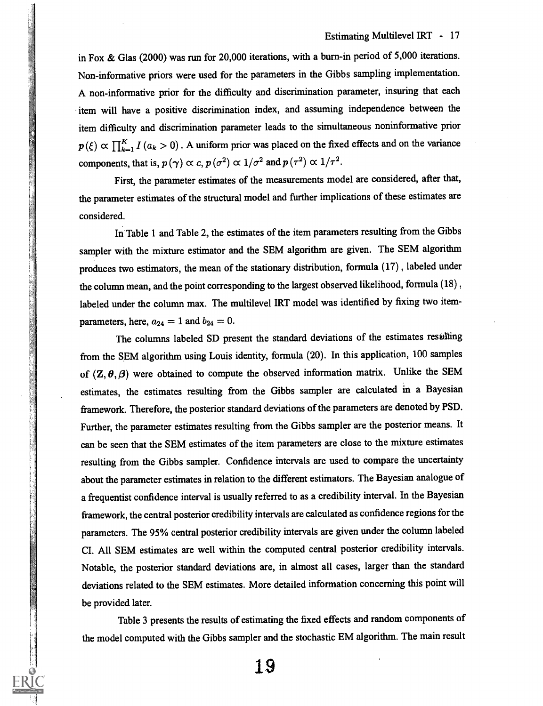in Fox & Glas (2000) was run for 20,000 iterations, with a burn-in period of 5,000 iterations. Non-informative priors were used for the parameters in the Gibbs sampling implementation. A non-informative prior for the difficulty and discrimination parameter, insuring that each item will have a positive discrimination index, and assuming independence between the item difficulty and discrimination parameter leads to the simultaneous noninformative prior  $p(\xi) \propto \prod_{k=1}^{K} I(a_k > 0)$ . A uniform prior was placed on the fixed effects and on the variance components, that is,  $p(\gamma) \propto c$ ,  $p(\sigma^2) \propto 1/\sigma^2$  and  $p(\tau^2) \propto 1/\tau^2$ .

First, the parameter estimates of the measurements model are considered, after that, the parameter estimates of the structural model and further implications of these estimates are considered.

In Table 1 and Table 2, the estimates of the item parameters resulting from the Gibbs sampler with the mixture estimator and the SEM algorithm are given. The SEM algorithm produces two estimators, the mean of the stationary distribution, formula (17) , labeled under the column mean, and the point corresponding to the largest observed likelihood, formula  $(18)$ , labeled under the column max. The multilevel IRT model was identified by fixing two itemparameters, here,  $a_{24} = 1$  and  $b_{24} = 0$ .

The columns labeled SD present the standard deviations of the estimates resulting from the SEM algorithm using Louis identity, formula (20). In this application, 100 samples of  $(Z, \theta, \beta)$  were obtained to compute the observed information matrix. Unlike the SEM estimates, the estimates resulting from the Gibbs sampler are calculated in a Bayesian framework. Therefore, the posterior standard deviations of the parameters are denoted by PSD. Further, the parameter estimates resulting from the Gibbs sampler are the posterior means. It can be seen that the SEM estimates of the item parameters are close to the mixture estimates resulting from the Gibbs sampler. Confidence intervals are used to compare the uncertainty about the parameter estimates in relation to the different estimators. The Bayesian analogue of a frequentist confidence interval is usually referred to as a credibility interval. In the Bayesian framework, the central posterior credibility intervals are calculated as confidence regions for the parameters. The 95% central posterior credibility intervals are given under the column labeled CI. All SEM estimates are well within the computed central posterior credibility intervals. Notable, the posterior standard deviations are, in almost all cases, larger than the standard deviations related to the SEM estimates. More detailed information concerning this point will be provided later.

Table 3 presents the results of estimating the fixed effects and random components of the model computed with the Gibbs sampler and the stochastic EM algorithm. The main result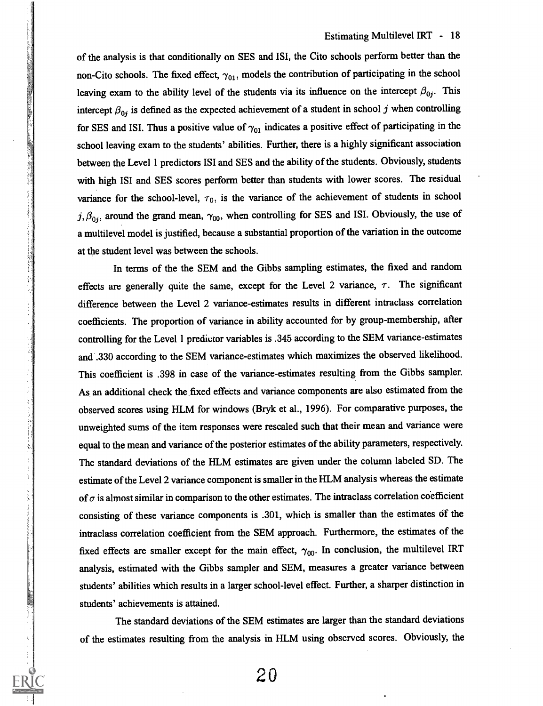of the analysis is that conditionally on SES and ISI, the Cito schools perform better than the non-Cito schools. The fixed effect,  $\gamma_{01}$ , models the contribution of participating in the school leaving exam to the ability level of the students via its influence on the intercept  $\beta_{0j}$ . This intercept  $\beta_{0i}$  is defined as the expected achievement of a student in school j when controlling for SES and ISI. Thus a positive value of  $\gamma_{01}$  indicates a positive effect of participating in the school leaving exam to the students' abilities. Further, there is a highly significant association between the Level 1 predictors ISI and SES and the ability of the students. Obviously, students with high ISI and SES scores perform better than students with lower scores. The residual variance for the school-level,  $\tau_0$ , is the variance of the achievement of students in school  $j, \beta_{0j}$ , around the grand mean,  $\gamma_{00}$ , when controlling for SES and ISI. Obviously, the use of a multilevel model is justified, because a substantial proportion of the variation in the outcome at the student level was between the schools.

In terms of the the SEM and the Gibbs sampling estimates, the fixed and random effects are generally quite the same, except for the Level 2 variance,  $\tau$ . The significant difference between the Level 2 variance-estimates results in different intraclass correlation coefficients. The proportion of variance in ability accounted for by group-membership, after controlling for the Level 1 predictor variables is .345 according to the SEM variance-estimates and .330 according to the SEM variance-estimates which maximizes the observed likelihood. This coefficient is .398 in case of the variance-estimates resulting from the Gibbs sampler. As an additional check the fixed effects and variance components are also estimated from the observed scores using HLM for windows (Bryk et al., 1996). For comparative purposes, the unweighted sums of the item responses were resealed such that their mean and variance were equal to the mean and variance of the posterior estimates of the ability parameters, respectively. The standard deviations of the HLM estimates are given under the column labeled SD. The estimate of the Level 2 variance component is smaller in the HLM analysis whereas the estimate of  $\sigma$  is almost similar in comparison to the other estimates. The intraclass correlation coefficient consisting of these variance components is .301, which is smaller than the estimates of the intraclass correlation coefficient from the SEM approach. Furthermore, the estimates of the fixed effects are smaller except for the main effect,  $\gamma_{00}$ . In conclusion, the multilevel IRT analysis, estimated with the Gibbs sampler and SEM, measures a greater variance between students' abilities which results in a larger school-level effect. Further, a sharper distinction in students' achievements is attained.

The standard deviations of the SEM estimates are larger than the standard deviations of the estimates resulting from the analysis in HLM using observed scores. Obviously, the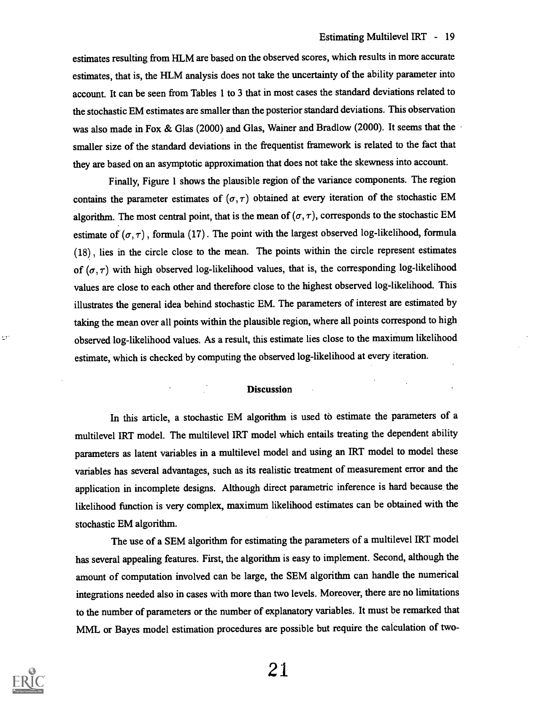estimates resulting from HLM are based on the observed scores, which results in more accurate estimates, that is, the HLM analysis does not take the uncertainty of the ability parameter into account. It can be seen from Tables 1 to 3 that in most cases the standard deviations related to the stochastic EM estimates are smaller than the posterior standard deviations. This observation was also made in Fox & Glas (2000) and Glas, Wainer and Bradlow (2000). It seems that the smaller size of the standard deviations in the frequentist framework is related to the fact that they are based on an asymptotic approximation that does not take the skewness into account.

Finally, Figure 1 shows the plausible region of the variance components. The region contains the parameter estimates of  $(\sigma, \tau)$  obtained at every iteration of the stochastic EM algorithm. The most central point, that is the mean of  $(\sigma, \tau)$ , corresponds to the stochastic EM estimate of  $(\sigma, \tau)$ , formula (17). The point with the largest observed log-likelihood, formula (18) , lies in the circle close to the mean. The points within the circle represent estimates of  $(\sigma, \tau)$  with high observed log-likelihood values, that is, the corresponding log-likelihood values are close to each other and therefore close to the highest observed log-likelihood. This illustrates the general idea behind stochastic EM. The parameters of interest are estimated by taking the mean over all points within the plausible region, where all points correspond to high observed log-likelihood values. As a result, this estimate lies close to the maximum likelihood estimate, which is checked by computing the observed log-likelihood at every iteration.

#### **Discussion**

In this article, a stochastic EM algorithm is used to estimate the parameters of a multilevel IRT model. The multilevel IRT model which entails treating the dependent ability parameters as latent variables in a multilevel model and using an IRT model to model these variables has several advantages, such as its realistic treatment of measurement error and the application in incomplete designs. Although direct parametric inference is hard because the likelihood function is very complex, maximum likelihood estimates can be obtained with the stochastic EM algorithm.

The use of a SEM algorithm for estimating the parameters of a multilevel IRT model has several appealing features. First, the algorithm is easy to implement. Second, although the amount of computation involved can be large, the SEM algorithm can handle the numerical integrations needed also in cases with more than two levels. Moreover, there are no limitations to the number of parameters or the number of explanatory variables. It must be remarked that MML or Bayes model estimation procedures are possible but require the calculation of two-



٠H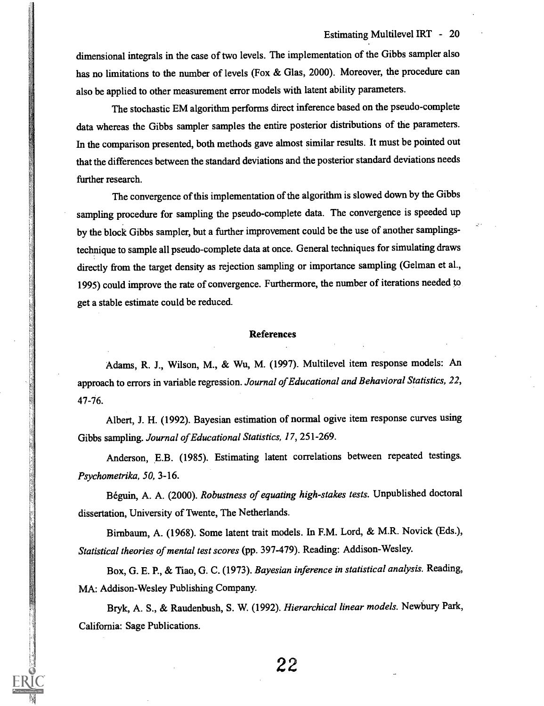dimensional integrals in the case of two levels. The implementation of the Gibbs sampler also has no limitations to the number of levels (Fox & Glas, 2000). Moreover, the procedure can also be applied to other measurement error models with latent ability parameters.

The stochastic EM algorithm performs direct inference based on the pseudo-complete data whereas the Gibbs sampler samples the entire posterior distributions of the parameters. In the comparison presented, both methods gave almost similar results. It must be pointed out that the differences between the standard deviations and the posterior standard deviations needs further research.

The convergence of this implementation of the algorithm is slowed down by the Gibbs sampling procedure for sampling the pseudo-complete data. The convergence is speeded up by the block Gibbs sampler, but a further improvement could be the use of another samplingstechnique to sample all pseudo-complete data at once. General techniques for simulating draws directly from the target density as rejection sampling or importance sampling (Gelman et al., 1995) could improve the rate of convergence. Furthermore, the number of iterations needed to get a stable estimate could be reduced.

#### References

Adams, R. J., Wilson, M., & Wu, M. (1997). Multilevel item response models: An approach to errors in variable regression. Journal of Educational and Behavioral Statistics, 22, 47-76.

Albert, J. H. (1992). Bayesian estimation of normal ogive item response curves using Gibbs sampling. Journal of Educational Statistics, 17, 251-269.

Anderson, E.B. (1985). Estimating latent correlations between repeated testings. Psychometrika, 50, 3-16.

Beguin, A. A. (2000). Robustness of equating high-stakes tests. Unpublished doctoral dissertation, University of Twente, The Netherlands.

Birnbaum, A. (1968). Some latent trait models. In P.M. Lord, & M.R. Novick (Eds.), Statistical theories of mental test scores (pp. 397-479). Reading: Addison-Wesley.

Box, G. E. P., & Tiao, G. C. (1973). Bayesian inference in statistical analysis. Reading, MA: Addison-Wesley Publishing Company.

Bryk, A. S., & Raudenbush, S. W. (1992). Hierarchical linear models. Newbury Park, California: Sage Publications.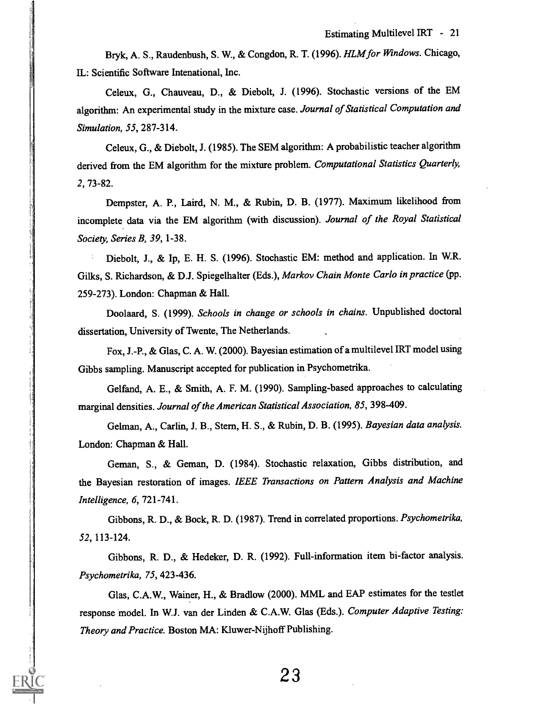Bryk, A. S., Raudenbush, S. W., & Congdon, R. T. (1996). HLM for Windows. Chicago, IL: Scientific Software Intenational, Inc.

Celeux, G., Chauveau, D., & Diebolt, J. (1996). Stochastic versions of the EM algorithm: An experimental study in the mixture case. Journal of Statistical Computation and Simulation, 55, 287-314.

Celeux, G., & Diebolt, J. (1985). The SEM algorithm: A probabilistic teacher algorithm derived from the EM algorithm for the mixture problem. Computational Statistics Quarterly, 2, 73-82.

Dempster, A. P., Laird, N. M., & Rubin, D. B. (1977). Maximum likelihood from incomplete data via the EM algorithm (with discussion). Journal of the Royal Statistical Society, Series B, 39, 1-38.

Diebolt, J., & Ip, E. H. S. (1996). Stochastic EM: method and application. In W.R. Gilks, S. Richardson, & D.J. Spiegelhalter (Eds.), Markov Chain Monte Carlo in practice (pp. 259-273). London: Chapman & Hall.

Doolaard, S. (1999). Schools in change or schools in chains. Unpublished doctoral dissertation, University of Twente, The Netherlands.

Fox, J.-P., & Glas, C. A. W. (2000). Bayesian estimation of a multilevel IRT model using Gibbs sampling. Manuscript accepted for publication in Psychometrika.

Gelfand, A. E., & Smith, A. F. M. (1990). Sampling-based approaches to calculating marginal densities. Journal of the American Statistical Association, 85, 398-409.

Gelman, A., Carlin, J. B., Stem, H. S., & Rubin, D. B. (1995). Bayesian data analysis. London: Chapman & Hall.

Geman, S., & Geman, D. (1984). Stochastic relaxation, Gibbs distribution, and the Bayesian restoration of images. IEEE Transactions on Pattern Analysis and Machine Intelligence, 6, 721-741.

Gibbons, R. D., & Bock, R. D. (1987). Trend in correlated proportions. Psychometrika, 52, 113-124.

Gibbons, R. D., & Hedeker, D. R. (1992). Full-information item bi-factor analysis. Psychometrika, 75, 423-436.

Glas, C.A.W., Wainer, H., & Bradlow (2000). MML and EAP estimates for the testlet response model. In W.J. van der Linden & C.A.W. Glas (Eds.). Computer Adaptive Testing: Theory and Practice. Boston MA: Kluwer-Nijhoff Publishing.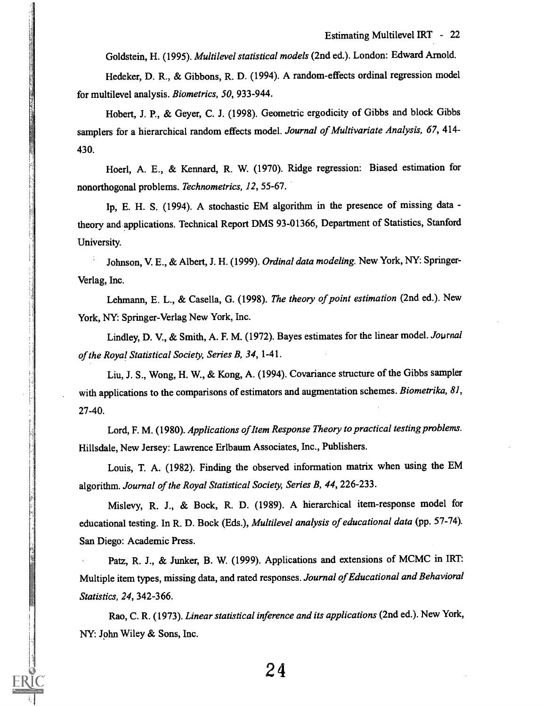Goldstein, H. (1995). Multilevel statistical models (2nd ed.). London: Edward Arnold.

Hedeker, D. R., & Gibbons, R. D. (1994). A random-effects ordinal regression model for multilevel analysis. Biometrics, 50, 933-944.

Hobert, J. P., & Geyer, C. J. (1998). Geometric ergodicity of Gibbs and block Gibbs samplers for a hierarchical random effects model. Journal of Multivariate Analysis, 67, 414-430.

Hoerl, A. E., & Kennard, R. W. (1970). Ridge regression: Biased estimation for nonorthogonal problems. Technometrics, 12, 55-67.

Ip, E. H. S. (1994). A stochastic EM algorithm in the presence of missing data theory and applications. Technical Report DMS 93-01366, Department of Statistics, Stanford University.

Johnson, V. E., & Albert, J. H. (1999). Ordinal data modeling. New York, NY: Springer-Verlag, Inc.

Lehmann, E. L., & Casella, G. (1998). The theory of point estimation (2nd ed.). New York, NY: Springer-Verlag New York, Inc.

Lindley, D. V., & Smith, A. F. M. (1972). Bayes estimates for the linear model. Journal of the Royal Statistical Society, Series B, 34, 1-41.

Liu, J. S., Wong, H. W., & Kong, A. (1994). Covariance structure of the Gibbs sampler with applications to the comparisons of estimators and augmentation schemes. Biometrika, 81, 27-40.

Lord, F. M. (1980). Applications of Item Response Theory to practical testing problems. Hillsdale, New Jersey: Lawrence Erlbaum Associates, Inc., Publishers.

Louis, T. A. (1982). Finding the observed information matrix when using the EM algorithm. Journal of the Royal Statistical Society, Series B, 44, 226-233.

Mislevy, R. J., & Bock, R. D. (1989). A hierarchical item-response model for educational testing. In R. D. Bock (Eds.), Multilevel analysis of educational data (pp. 57-74). San Diego: Academic Press.

Patz, R. J., & Junker, B. W. (1999). Applications and extensions of MCMC in IRT: Multiple item types, missing data, and rated responses. Journal of Educational and Behavioral Statistics, 24, 342-366.

Rao, C. R. (1973). Linear statistical inference and its applications (2nd ed.). New York, NY: John Wiley & Sons, Inc.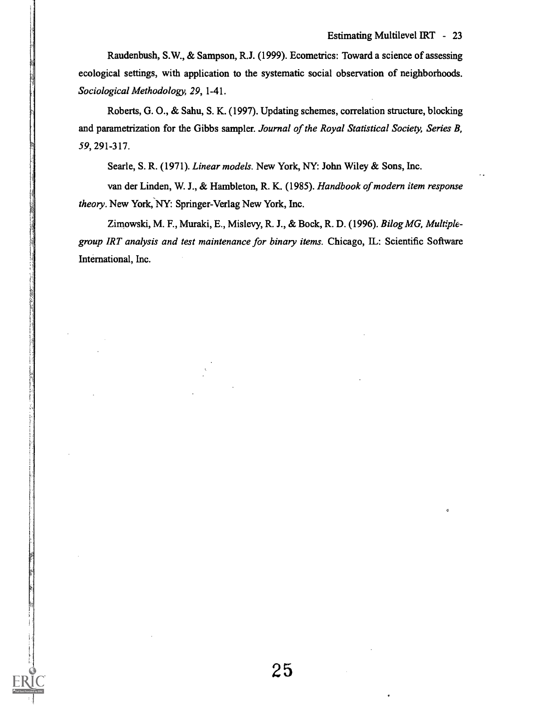Raudenbush, S.W., & Sampson, R.J. (1999). Ecometrics: Toward a science of assessing ecological settings, with application to the systematic social observation of neighborhoods. Sociological Methodology, 29, 1-41.

Roberts, G. 0., & Sahu, S. K. (1997). Updating schemes, correlation structure, blocking and parametrization for the Gibbs sampler. Journal of the Royal Statistical Society, Series B, 59,291-317.

Searle, S. R. (1971). Linear models. New York, NY: John Wiley & Sons, Inc.

van der Linden, W. J., & Hambleton, R. K. (1985). Handbook of modern item response theory. New York, NY: Springer-Verlag New York, Inc.

Zimowski, M. F., Muraki, E., Mislevy, R. J., & Bock, R. D. (1996). Bilog MG, Multiplegroup IRT analysis and test maintenance for binary items. Chicago, IL: Scientific Software International, Inc.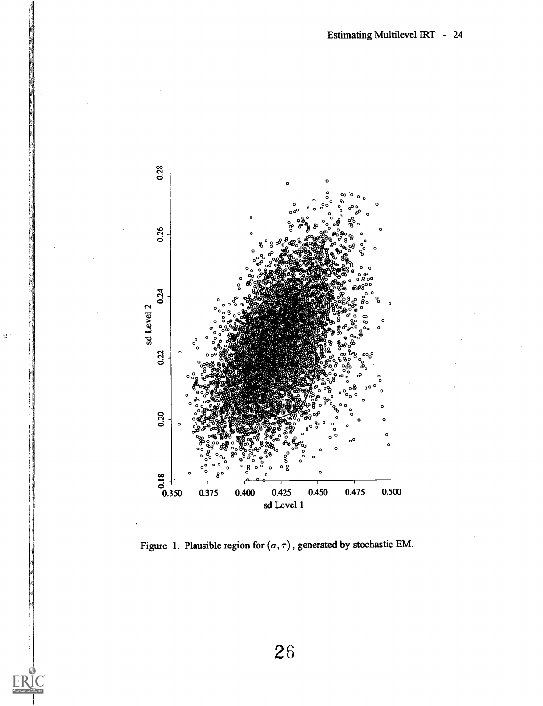

 $\mathcal{Q}^{\mathcal{C}}$ 

Figure 1. Plausible region for  $(\sigma, \tau)$ , generated by stochastic EM.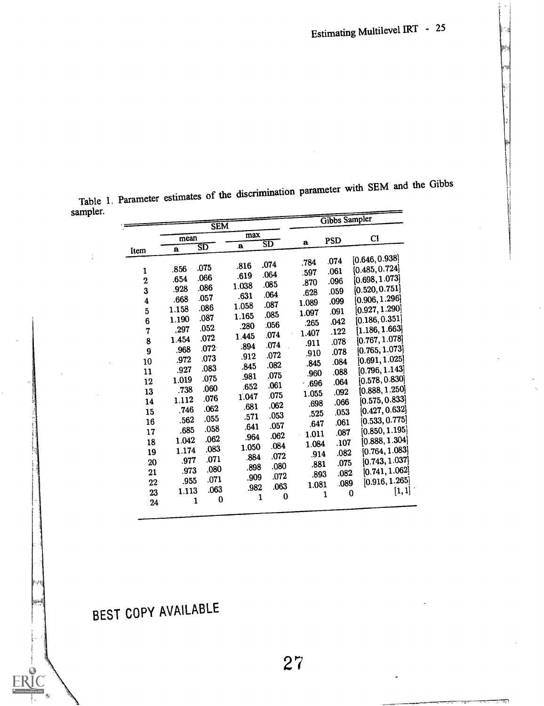|                  |        | <b>SEM</b>             |              |      |             | Gibbs Sampler |                             |
|------------------|--------|------------------------|--------------|------|-------------|---------------|-----------------------------|
|                  | mean   |                        | max          |      |             |               | CI                          |
|                  |        | $\overline{\text{SD}}$ | $\mathbf{a}$ | 3D   | $\mathbf a$ | PSD           |                             |
| Item             | a      |                        |              |      |             |               |                             |
|                  |        |                        | .816         | .074 | .784        | .074          | [0.646, 0.938]              |
| $\mathbf{1}$     | .856   | .075                   | .619         | .064 | .597        | .061          | [0.485, 0.724]              |
| $\overline{2}$   | .654   | .066                   | 1.038        | .085 | .870        | .096          | [0.698, 1.073]              |
| 3                | .928   | .086                   |              | .064 | .628        | .059          | [0.520, 0.751]              |
| 4                | .668   | .057                   | .631         | .087 | 1.089       | .099          | [0.906, 1.296]              |
| 5                | 1.158  | .086                   | 1.058        | .085 | 1.097       | .091          | [0.927, 1.290]              |
| 6                | 1.190  | .087                   | 1.165        |      | .265        | .042          | [0.186, 0.351]              |
| 7                | $.297$ | .052                   | .280         | .056 | 1.407       | .122          | [1.186, 1.663]              |
| 8                | 1.454  | .072                   | 1.445        | .074 | .911        | .078          | [0.767, 1.078]              |
| $\boldsymbol{9}$ | .968   | $.072 -$               | .894         | .074 |             | .078          | $\left[0.765, 1.073\right]$ |
| 10               | .972   | .073                   | .912         | .072 | .910        | .084          | [0.691, 1.025]              |
| 11               | .927   | .083                   | .845         | .082 | .845        | .088          | [0.796, 1.143]              |
| 12               | 1.019  | .075                   | .981         | .075 | .960        | .064          | [0.578, 0.830]              |
| 13               | .738   | .060                   | .652         | .061 | .696        |               | [0.888, 1.250]              |
|                  | 1.112  | .076                   | 1.047        | .075 | 1.055       | .092          | [0.575, 0.833]              |
| 14               | .746   | .062                   | .681         | .062 | .698        | .066          | [0.427, 0.632]              |
| 15               | .562   | .055                   | .571         | .053 | .525        | .053          |                             |
| 16               |        | .058                   | .641         | .057 | .647        | .061          | [0.533, 0.775]              |
| 17               | .685   | .062                   | .964         | .062 | 1.011       | .087          | [0.850, 1.195]              |
| 18               | 1.042  |                        | 1.050        | .084 | 1.084       | .107          | [0.888, 1.304]              |
| 19               | 1.174  | .083                   | .884         | .072 | .914        | .082          | [0.764, 1.083]              |
| 20               | .977   | .071                   | .898         | .080 | .881        | .075          | [0.743, 1.037]              |
| 21               | .973   | .080                   | .909         | .072 | .893        | .082          | [0.741, 1.062]              |
| $22\phantom{.}$  | .955   | .071                   |              | .063 | 1.081       | .089          | [0.916, 1.265]              |
| 23               | 1.113  | .063                   | .982         | 0    | 1           | $\bf{0}$      | [1,1]                       |
| 24               | 1      | 0                      | ı            |      |             |               |                             |

Table 1. Parameter estimates of the discrimination parameter with SEM and the Gibbs sampler.

BEST COPY AVAILABLE

 $\ddot{\phantom{a}}$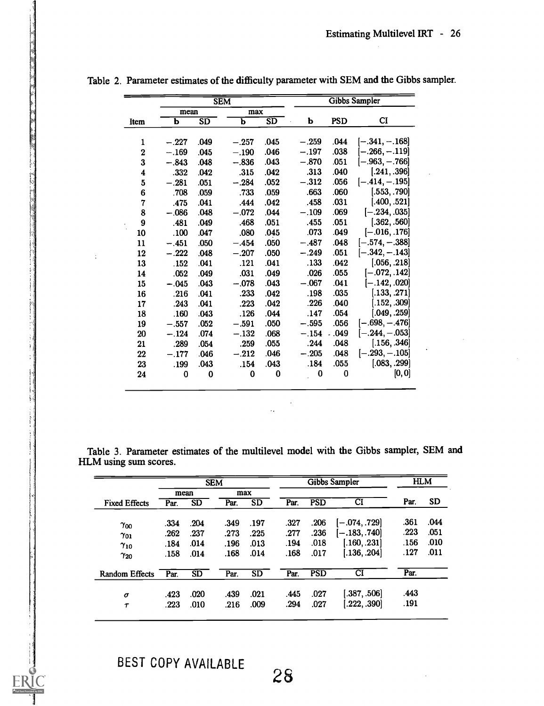|                  |         |          | <b>SEM</b> |                        |         |            | Gibbs Sampler    |
|------------------|---------|----------|------------|------------------------|---------|------------|------------------|
|                  | mean    |          | max        |                        |         |            |                  |
| Item             | b       | SD       | ь          | $\overline{\text{SD}}$ | b       | <b>PSD</b> | $_{\rm CI}$      |
|                  |         |          |            |                        |         |            |                  |
| 1                | $-.227$ | .049     | $-.257$    | .045                   | $-.259$ | .044       | [—.341, —.168]   |
| $\mathbf 2$      | $-.169$ | .045     | $-.190$    | .046                   | $-.197$ | .038       | $[-.266, -.119]$ |
| 3                | $-.843$ | .048     | $-.836$    | .043                   | $-.870$ | .051       | $[-.963, -.766]$ |
| $\boldsymbol{4}$ | .332    | .042     | .315       | .042                   | .313    | .040       | [.241, .396]     |
| 5                | $-.281$ | .051     | $-.284$    | .052                   | $-.312$ | .056       | $[-.414, -.195]$ |
| 6                | .708    | .059     | .733       | .059                   | .663    | .060       | [.553, .790]     |
| 7                | .475    | .041     | .444       | .042                   | .458    | .031       | [.400, .521]     |
| 8                | $-.086$ | .048     | $-.072$    | .044                   | $-.109$ | .069       | $[-.234, .035]$  |
| $\boldsymbol{9}$ | .481    | .049     | .468       | .051                   | .455    | .051       | [.362, .560]     |
| 10               | .100    | .047     | .080       | .045                   | .073    | .049       | $[-.016, .176]$  |
| 11               | $-.451$ | .050     | $-.454$    | .050                   | $-.487$ | .048       | $[-.574, -.388]$ |
| 12               | $-.222$ | .048     | $-.207$    | .050                   | $-.249$ | .051       | $[-.342, -.143]$ |
| 13               | .152    | .041     | .121       | .041                   | .133    | .042       | [.056, .218]     |
| 14               | .052    | .049     | .031       | .049                   | .026    | .055       | $[-.072, .142]$  |
| 15               | $-.045$ | .043     | $-.078$    | .043                   | $-.067$ | .041       | $[-.142, .020]$  |
| 16               | .216    | .041     | .233       | .042                   | .198    | .035       | [.133, .271]     |
| 17               | .243    | .041     | .223       | .042                   | .226    | .040       | [.152, .309]     |
| 18               | .160    | .043     | .126       | .044                   | .147    | .054       | [.049, .259]     |
| 19               | $-.557$ | .052     | $-.591$    | .050                   | $-.595$ | .056       | $[-.698, -.476]$ |
| 20               | $-.124$ | .074     | $-.132$    | .068                   | $-.154$ | .049       | $[-.244, -.053]$ |
| 21               | .289    | .054     | .259       | .055                   | .244    | .048       | [.156, .346]     |
| 22               | $-.177$ | .046     | $-.212$    | .046                   | $-.205$ | .048       | $[-.293, -.105]$ |
| 23               | .199    | .043     | .154       | .043                   | .184    | .055       | [.083, .299]     |
| 24               | 0       | $\bf{0}$ | $\bf{0}$   | 0                      | 0       | 0          | [0,0]            |

|  |  |  |  |  |  | Table 2. Parameter estimates of the difficulty parameter with SEM and the Gibbs sampler. |  |  |  |  |  |
|--|--|--|--|--|--|------------------------------------------------------------------------------------------|--|--|--|--|--|
|--|--|--|--|--|--|------------------------------------------------------------------------------------------|--|--|--|--|--|

| Table 3. Parameter estimates of the multilevel model with the Gibbs sampler, SEM and |  |  |  |  |  |  |
|--------------------------------------------------------------------------------------|--|--|--|--|--|--|
| HLM using sum scores.                                                                |  |  |  |  |  |  |

 $\mathcal{L}_{\mathbf{z}}$ 

 $\ddot{\phantom{0}}$ 

|                       |      |           | Gibbs Sampler<br><b>SEM</b> |      |      |            |                 | <b>HLM</b> |           |  |
|-----------------------|------|-----------|-----------------------------|------|------|------------|-----------------|------------|-----------|--|
|                       | mean |           | max                         |      |      |            |                 |            |           |  |
| <b>Fixed Effects</b>  | Par. | <b>SD</b> | Par.                        | SD   | Par. | <b>PSD</b> | $_{\rm CI}$     | Par.       | <b>SD</b> |  |
| $\gamma_{00}$         | .334 | .204      | .349                        | .197 | .327 | .206       | $[-.074, .729]$ | .361       | .044      |  |
| $\gamma_{01}$         | .262 | .237      | .273                        | .225 | .277 | .236       | $[-.183, .740]$ | .223       | .051      |  |
| $\gamma_{10}$         | .184 | .014      | .196                        | .013 | .194 | .018       | [.160, .231]    | .156       | .010      |  |
| $\gamma_{20}$         | .158 | .014      | .168                        | .014 | .168 | .017       | .136, .204]     | .127       | .011      |  |
| <b>Random Effects</b> | Par. | SD        | Par.                        | SD   | Par. | <b>PSD</b> | CΙ              | Par.       |           |  |
| $\sigma$              | .423 | .020      | .439                        | .021 | .445 | .027       | 0.387, .506     | .443       |           |  |
| Τ                     | .223 | .010      | .216                        | .009 | .294 | .027       | .222, .390      | .191       |           |  |
|                       |      |           |                             |      |      |            |                 |            |           |  |

 $\ddot{\phi}$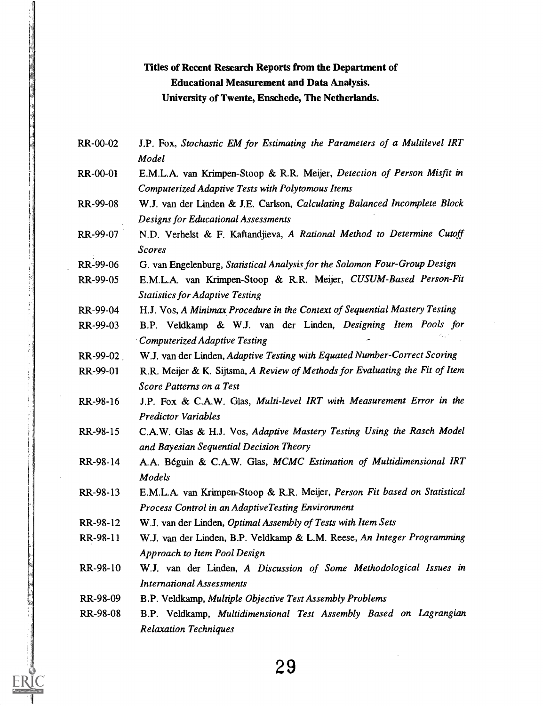#### Titles of Recent Research Reports from the Department of Educational Measurement and Data Analysis. University of Twente, Enschede, The Netherlands.

- RR-00-02 J.P. Fox, Stochastic EM for Estimating the Parameters of a Multilevel IRT Model
- RR-00-01 E.M.L.A. van Krimpen-Stoop & R.R. Meijer, Detection of Person Misfit in Computerized Adaptive Tests with Polytomous Items
- RR-99-08 W.J. van der Linden & J.E. Carlson, Calculating Balanced Incomplete Block Designs for Educational Assessments
- RR-99-07 N.D. Verhelst & F. Kaftandjieva, A Rational Method to Determine Cutoff Scores
- RR-99-06 G. van Engelenburg, Statistical Analysis for the Solomon Four-Group Design
- RR-99-05 E.M.L.A. van Krimpen-Stoop & R.R. Meijer, CUSUM-Based Person-Fit Statistics for Adaptive Testing
- RR-99-04 H.J. Vos, A Minimax Procedure in the Context of Sequential Mastery Testing
- RR-99-03 B.P. Veldkamp & W.J. van der Linden, Designing Item Pools for Computerized Adaptive Testing
- RR-99-02 W.J. van der Linden, Adaptive Testing with Equated Number-Correct Scoring
- RR-99-01 R.R. Meijer & K. Sijtsma, A Review of Methods for Evaluating the Fit of Item Score Patterns on a Test
- RR-98-16 J.P. Fox & C.A.W. Glas, Multi-level IRT with Measurement Error in the Predictor Variables
- RR-98-15 C.A.W. Glas & H.J. Vos, Adaptive Mastery Testing Using the Rasch Model and Bayesian Sequential Decision Theory
- RR-98-14 A.A. Béguin & C.A.W. Glas, MCMC Estimation of Multidimensional IRT Models
- RR-98-13 E.M.L.A. van Krimpen-Stoop & R.R. Meijer, Person Fit based on Statistical Process Control in an AdaptiveTesting Environment
- RR-98-12 W.J. van der Linden, Optimal Assembly of Tests with Item Sets
- RR-98-11 W.J. van der Linden, B.P. Veldkamp & L.M. Reese, An Integer Programming Approach to Item Pool Design
- RR-98-10 W.J. van der Linden, A Discussion of Some Methodological Issues in International Assessments
- RR-98-09 B.P. Veldkamp, Multiple Objective Test Assembly Problems
- RR-98-08 B.P. Veldkamp, Multidimensional Test Assembly Based on Lagrangian Relaxation Techniques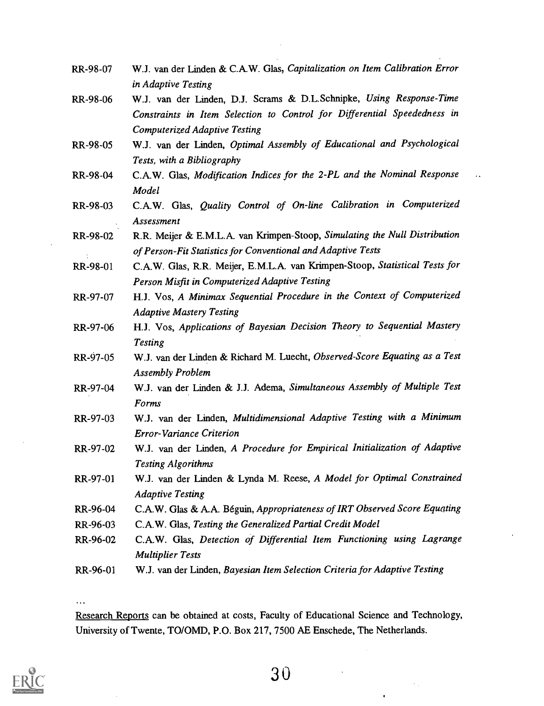- RR-98-07 W.J. van der Linden & C.A.W. Glas, Capitalization on Item Calibration Error in Adaptive Testing
- RR-98-06 W.J. van der Linden, D.J. Scrams & D.L.Schnipke, Using Response-Time Constraints in Item Selection to Control for Differential Speededness in Computerized Adaptive Testing
- RR-98-05 W.J. van der Linden, Optimal Assembly of Educational and Psychological Tests, with a Bibliography
- RR-98-04 C.A.W. Glas, Modification Indices for the 2-PL and the Nominal Response Model
- RR-98-03 C.A.W. Glas, Quality Control of On-line Calibration in Computerized Assessment
- RR-98-02 R.R. Meijer & E.M.L.A. van Krimpen-Stoop, Simulating the Null Distribution of Person-Fit Statistics for Conventional and Adaptive Tests
- RR-98-01 C.A.W. Glas, R.R. Meijer, E.M.L.A. van Krimpen-Stoop, Statistical Tests for Person Misfit in Computerized Adaptive Testing
- RR-97-07 H.J. Vos, A Minimax Sequential Procedure in the Context of Computerized Adaptive Mastery Testing
- RR-97-06 H.J. Vos, Applications of Bayesian Decision Theory to Sequential Mastery Testing
- RR-97-05 W.J. van der Linden & Richard M. Luecht, Observed-Score Equating as a Test Assembly Problem
- RR-97-04 W.J. van der Linden & J.J. Adema, Simultaneous Assembly of Multiple Test Forms.
- RR-97-03 W.J. van der Linden, Multidimensional Adaptive Testing with a Minimum Error-Variance Criterion
- RR-97-02 W.J. van der Linden, A Procedure for Empirical Initialization of Adaptive Testing Algorithms
- RR-97-01 W.J. van der Linden & Lynda M. Reese, A Model for Optimal Constrained Adaptive Testing
- RR-96-04 C.A.W. Glas & A.A. Beguin, Appropriateness of IRT Observed Score Equating
- RR-96-03 C.A.W. Glas, Testing the Generalized Partial Credit Model
- RR-96-02 C.A.W. Glas, Detection of Differential Item Functioning using Lagrange Multiplier Tests
- RR-96-01 W.J. van der Linden, Bayesian Item Selection Criteria for Adaptive Testing

Research Reports can be obtained at costs, Faculty of Educational Science and Technology, University of Twente, TO/OMD, P.O. Box 217, 7500 AE Enschede, The Netherlands.

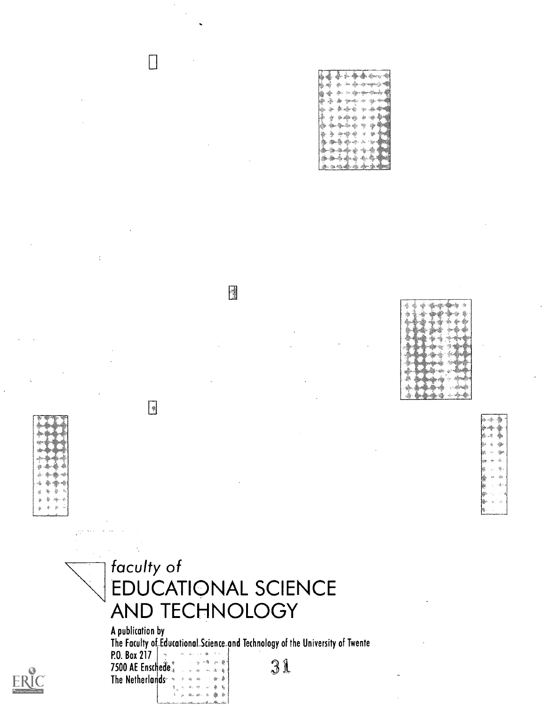B



Experimental contract of the contract of the contract of the contract of the contract of the contract of the contract of the contract of the contract of the contract of the contract of the contract of the contract of the c

 $\begin{bmatrix} 1 \\ 2 \end{bmatrix}$ 

A publication by The Faculty ofiducationaLScience\_and Technology of the University of Twente **P.O.** Box 217  $\begin{bmatrix} 1 & 1 & 1 & 1 \\ 1 & 1 & 1 & 1 \\ 1 & 1 & 1 & 1 \end{bmatrix}$ 7500 AE Enschede. The Netherlands-